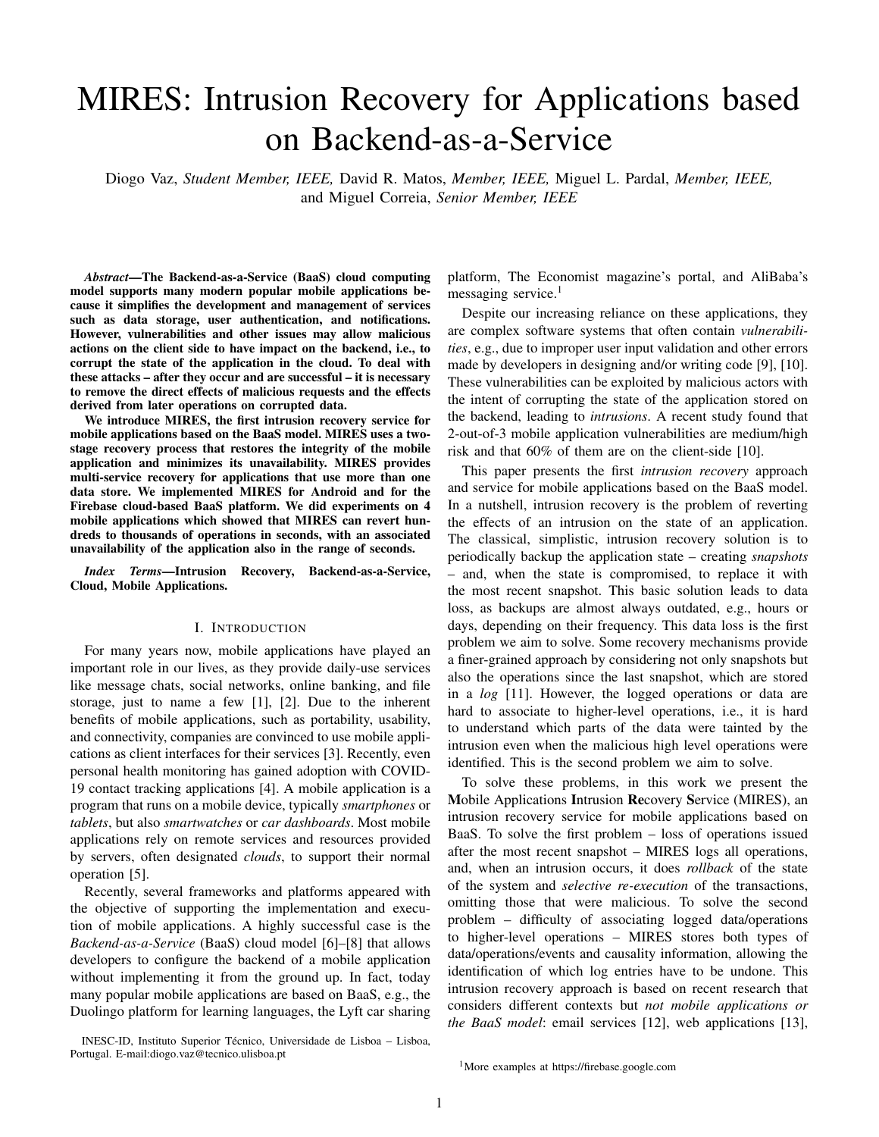# MIRES: Intrusion Recovery for Applications based on Backend-as-a-Service

Diogo Vaz, *Student Member, IEEE,* David R. Matos, *Member, IEEE,* Miguel L. Pardal, *Member, IEEE,* and Miguel Correia, *Senior Member, IEEE*

*Abstract*—The Backend-as-a-Service (BaaS) cloud computing model supports many modern popular mobile applications because it simplifies the development and management of services such as data storage, user authentication, and notifications. However, vulnerabilities and other issues may allow malicious actions on the client side to have impact on the backend, i.e., to corrupt the state of the application in the cloud. To deal with these attacks – after they occur and are successful – it is necessary to remove the direct effects of malicious requests and the effects derived from later operations on corrupted data.

We introduce MIRES, the first intrusion recovery service for mobile applications based on the BaaS model. MIRES uses a twostage recovery process that restores the integrity of the mobile application and minimizes its unavailability. MIRES provides multi-service recovery for applications that use more than one data store. We implemented MIRES for Android and for the Firebase cloud-based BaaS platform. We did experiments on 4 mobile applications which showed that MIRES can revert hundreds to thousands of operations in seconds, with an associated unavailability of the application also in the range of seconds.

*Index Terms*—Intrusion Recovery, Backend-as-a-Service, Cloud, Mobile Applications.

#### I. INTRODUCTION

For many years now, mobile applications have played an important role in our lives, as they provide daily-use services like message chats, social networks, online banking, and file storage, just to name a few [1], [2]. Due to the inherent benefits of mobile applications, such as portability, usability, and connectivity, companies are convinced to use mobile applications as client interfaces for their services [3]. Recently, even personal health monitoring has gained adoption with COVID-19 contact tracking applications [4]. A mobile application is a program that runs on a mobile device, typically *smartphones* or *tablets*, but also *smartwatches* or *car dashboards*. Most mobile applications rely on remote services and resources provided by servers, often designated *clouds*, to support their normal operation [5].

Recently, several frameworks and platforms appeared with the objective of supporting the implementation and execution of mobile applications. A highly successful case is the *Backend-as-a-Service* (BaaS) cloud model [6]–[8] that allows developers to configure the backend of a mobile application without implementing it from the ground up. In fact, today many popular mobile applications are based on BaaS, e.g., the Duolingo platform for learning languages, the Lyft car sharing

INESC-ID, Instituto Superior Técnico, Universidade de Lisboa - Lisboa, Portugal. E-mail:diogo.vaz@tecnico.ulisboa.pt

platform, The Economist magazine's portal, and AliBaba's messaging service.<sup>[1](#page-0-0)</sup>

Despite our increasing reliance on these applications, they are complex software systems that often contain *vulnerabilities*, e.g., due to improper user input validation and other errors made by developers in designing and/or writing code [9], [10]. These vulnerabilities can be exploited by malicious actors with the intent of corrupting the state of the application stored on the backend, leading to *intrusions*. A recent study found that 2-out-of-3 mobile application vulnerabilities are medium/high risk and that 60% of them are on the client-side [10].

This paper presents the first *intrusion recovery* approach and service for mobile applications based on the BaaS model. In a nutshell, intrusion recovery is the problem of reverting the effects of an intrusion on the state of an application. The classical, simplistic, intrusion recovery solution is to periodically backup the application state – creating *snapshots* – and, when the state is compromised, to replace it with the most recent snapshot. This basic solution leads to data loss, as backups are almost always outdated, e.g., hours or days, depending on their frequency. This data loss is the first problem we aim to solve. Some recovery mechanisms provide a finer-grained approach by considering not only snapshots but also the operations since the last snapshot, which are stored in a *log* [11]. However, the logged operations or data are hard to associate to higher-level operations, i.e., it is hard to understand which parts of the data were tainted by the intrusion even when the malicious high level operations were identified. This is the second problem we aim to solve.

To solve these problems, in this work we present the Mobile Applications Intrusion Recovery Service (MIRES), an intrusion recovery service for mobile applications based on BaaS. To solve the first problem – loss of operations issued after the most recent snapshot – MIRES logs all operations, and, when an intrusion occurs, it does *rollback* of the state of the system and *selective re-execution* of the transactions, omitting those that were malicious. To solve the second problem – difficulty of associating logged data/operations to higher-level operations – MIRES stores both types of data/operations/events and causality information, allowing the identification of which log entries have to be undone. This intrusion recovery approach is based on recent research that considers different contexts but *not mobile applications or the BaaS model*: email services [12], web applications [13],

<span id="page-0-0"></span><sup>1</sup>More examples at <https://firebase.google.com>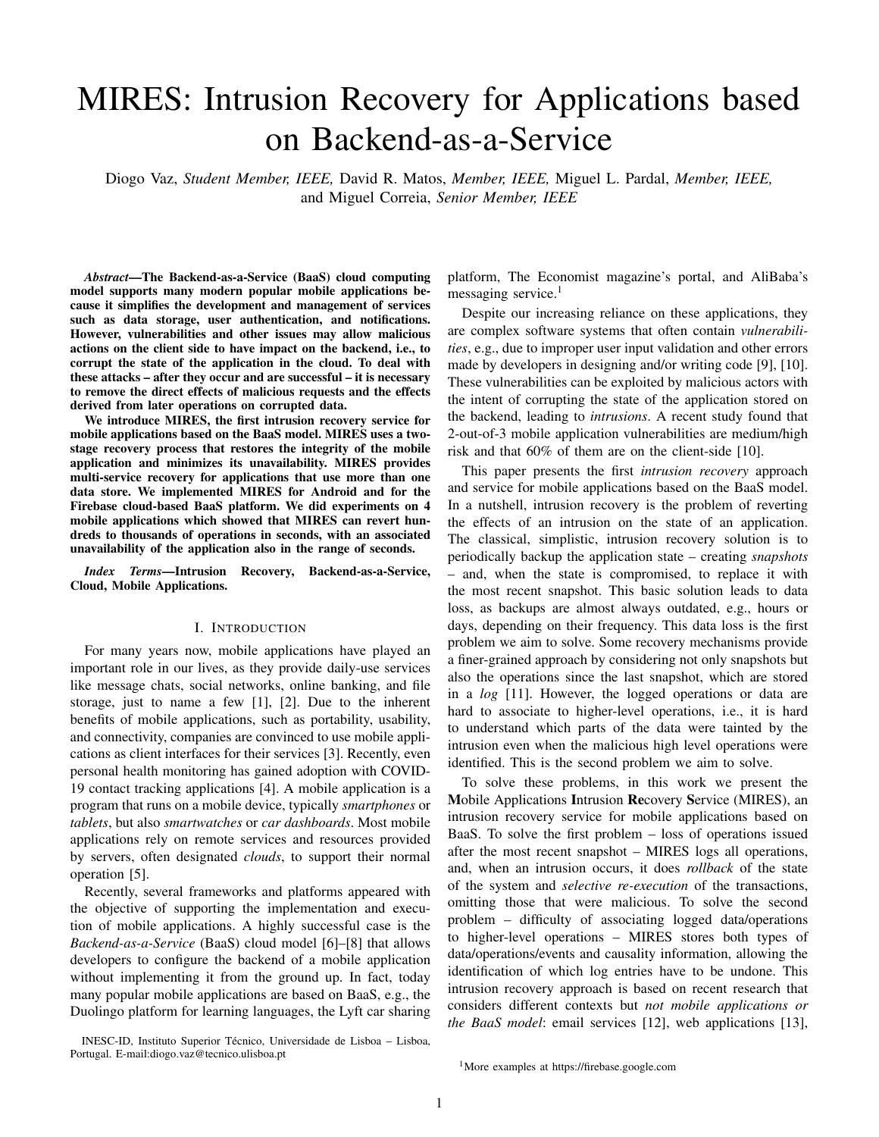[14], databases [15], [16], operating systems [17], and cloud computing [18], [19].

MIRES has a set of interesting *features*. The recovery is done online, mostly in parallel with the normal functioning of the application, to increase availability, on the contrary of what offline recovery mechanisms do. Moreover, although most applications still use a single backend data store (e.g., a database), many recent applications are starting to use more than one (e.g., a database and a file store), so MIRES supports multi-service recovery. Finally, MIRES also supports a form of client-side recovery in the mobile device to allow users to recover from mistakes.

The *security objectives* [20] of the intrusion recovery approach for mobile applications is to regain *integrity* after an intrusion and to do so with low impact on *availability*; the objective is *not* to achieve *confidentiality* as MIRES operates after the intrusion has happened. Confidentiality protection requires run-time mechanisms that are out of the scope of this paper [21], [22]. Our work also does *not* focus on intrusion detection, that is orthogonal to intrusion recovery; many existing and research mechanisms can be used for this purpose [23]–[25].

The design of MIRES had to deal with a set of *challenges*. First, with mobile applications it is not practical to have a proxy intermediating all client-server communications, unlike what is done in previous works. Second, the BaaS model supports multiple services in the backend, unlike previous works that support a single one (e.g., a database or a file system), so the recovery service has to support multi-service recovery. Third, MIRES is constrained by an environment that is not fully programmable, in the sense that is limited to the services and degrees of freedom provided by the BaaS model, especially in the backend.

We implemented a prototype of MIRES for the Android and the Firebase [26] platform – this implementation is available online<sup>[2](#page-1-0)</sup> – and evaluated it experimentally using 4 mobile applications: a social network, a messaging app, a shopping list app and a contact tracing app. MIRES was able to recover 1000 operations in less than 1 minute, leaving the mobile application unavailable just for less than 15 seconds.

The main contribution of this paper is the first intrusion recovery service for the BaaS model, focused on mobile applications. Moreover, this service (1) provides online recovery to increase the availability of the system, (2) supports multi-service recovery; and (3) includes a client-side recovery mechanism.

#### II. BACKGROUND AND RELATED WORK

This section provides some background on intrusion recovery and presents related work.

#### *A. From Intrusions to Recovery*

<span id="page-1-0"></span>The term *intrusion* is often used to designate *unauthorized* activities that affect the *integrity*, *confidentiality* and/or *availability* of a system [20]. However, in this work we use the term in a broader sense to include also *authorized* but erroneous activities that someone later wants to undo. As already explained, the objective is to restore integrity after an intrusion with low impact on availability, but does not include confidentiality.

The process of dealing with an intrusion is divided into three main phases: intrusion detection, vulnerability remediation and intrusion recovery.

The first phase, *intrusion detection*, consists of monitoring the events in a system or network and analyze them for signs of suspicious activities, being an important procedure to deal with unpredictable attacks. Previous works resort to *Intrusion Detection Systems* (IDS) [11], [23]–[25] to help in analyzing and detecting suspicious events. Some of these systems need human configuration to deal with precision issues, like false positives, to initiate the recovery process.

The second phase, *vulnerability remediation*, is concerned with fixing the application or its configuration, if needed. This phase consists of *classifying* and *mitigating* the vulnerability that originated the intrusion, by configuration adjustments or applying security patches – uploading code developed to resolve the specific vulnerability in the software [27], [28]. The goal is to prevent similar intrusions from happening again.

The last phase – and the scope of this work – is *intrusion recovery*. This process aims to remove the effects of the intrusion and return the application to a state where those effects are neutralized or mitigated, restoring the integrity of the system. To handle intrusion recovery, there are two common approaches that can be used: *selective re-execution* and *compensation*.

*Selective Re-execution* is based on changing the state of the system up to some point back in the past. This includes removing all activity, desirable and undesirable. For example, row versioning and snapshots [11] are two techniques that follow this approach. Then, the system re-executes all the requests not related to the intrusion, a process called *roll forward*, in order to bring the system to the present. MIRES adopts this technique, selective re-execution, to reconstruct the documents affected by the intrusions.

*Compensation* is based on undoing malicious intrusions and their direct and indirect effects without necessarily restoring the data state to appear as if the malicious intrusions had never been executed. For example, compensating transactions [29] is a technique that implements this approach in the context of databases.

#### *B. Related Work*

Intrusion recovery has been studied considering different systems or services: email servers [12], [30], databases [15], [16], [31], hypervisor-based virtual machines [32]–[34], files and file systems [17], [35]–[40], web applications [13], [14], [41], and cloud computing service models [18], [19], [42]. This section introduces some relevant intrusion recovery works and briefly discusses their relationship with MIRES.

The first presentation of the broad intrusion recovery approach we follow is due to Brown and Patterson [12]. They present *Undo for Operators*, a tool that allows operators to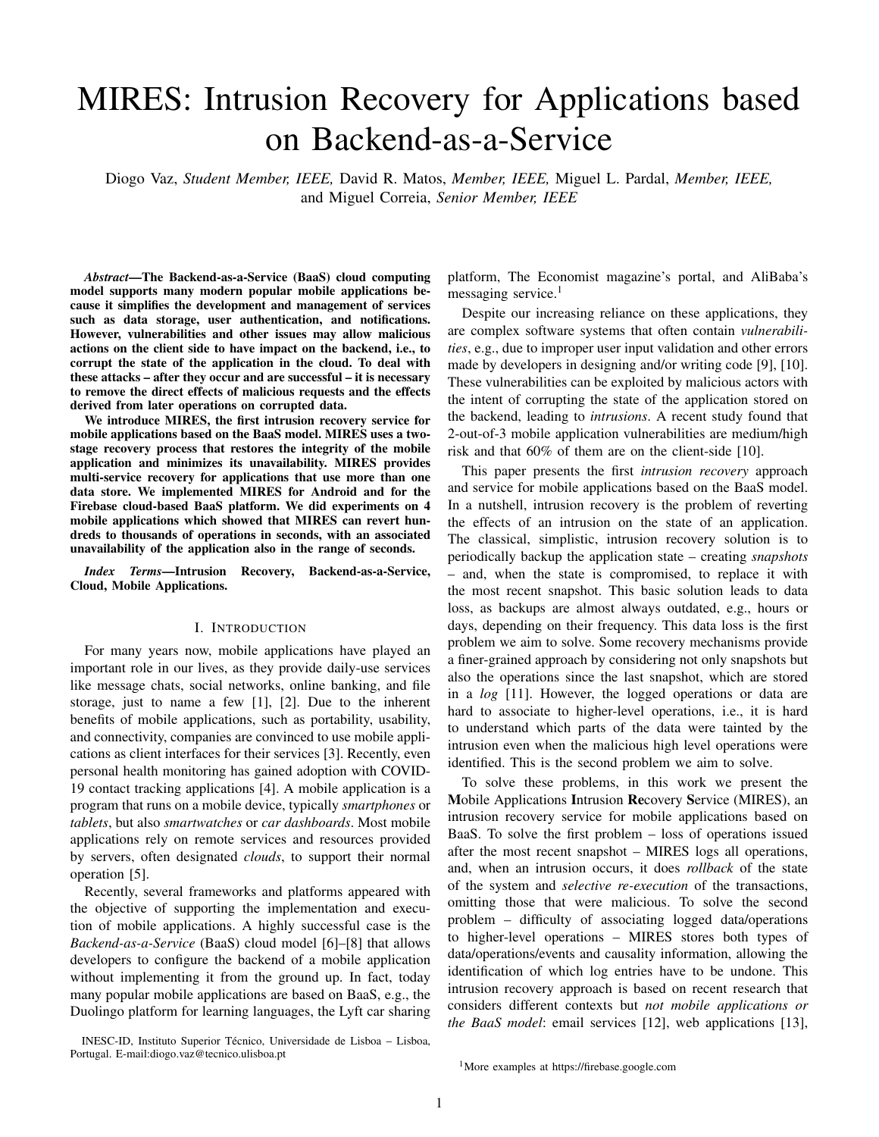recover from their own mistakes, from unanticipated software problems, and from intentional or accidental data corruption.

As an example, the paper extends an email server with the recovery mechanism it presents, which eventually was relatively and relative recovering all updates of the Files 7 in uential in a related mechanism used in Google's GMail. Bezoar [33] Selective re-execution Of ine Virtual Mach. 7 The model for Operator Undo is based on 3 events, introduced range in the paper as the three R's Rewind where all the state of  $R_{\text{Mam}}^{\text{Cokl}}$ the system is rolled back in time to a point before any damaged the state of the selective re-execution Semi-online Web App 7 Occurred; Repair, where the operator alters the rolled-back  $\frac{1}{N_0SO(L)}$  and the reservation online Web App 7<br>Occurred; Repair, Web App 7 system to prevent the problem from reoccurring; are play

where the repaired system is rolled forward to the present by replaying portions of the previously-rewound legitimate it reverts the affected record to a previous point in time, then it recorstruct: them by re-executing the operations that were logged MIRES, unlike Operator Undo, does not rollback the ertire state of the application, instead it locks the databas so that the usert car only perform read operations. This allows the application to remair available during recovery.

of web applications to recover from intrusions while preserv $35$ –[40]. The exception is RockFS that considers-les stored ing legitimate user changes. The Warp recovery approach<sup>in a</sup> clouc store sevice or a clouc-of-clouds [43]. MIRES similarities with WARP: both require a client-side extensio<sup>to le</sup> system recovery mechanisms (Retro, Taser, etc.) or to and both offer a recovery mechanisthat partially recovers only the affected documents instead of recorstrucing the ertire state of the database.

Shuttle [19] is an intrusion recovery service for Platform-as self-healing database that detects attacks and recovers from a-Service (PaaS) applications. PaaS is a popular cloud mothem [44]. Another example is a large literature on distributed that provides an execution environment for web applicationsheckpointing, which has the objective of obtaining a consis-Shuttle was designed to help administrators recover the nt view of the state of the (distributed) system to support applications from software aws and malicious or acciden<sup>recovery</sup> [45]–[47]. All these works are concerned with the tally corrupted user requests. MIRES and Shuttle present ecovery of low-level events (e.g., database operations), not similarity: both save read accesses to the database, in orde with recovery of high-level events as we are in this work. identify dependencies between transacticHowever Shutle corsiders a different system mode in which the applications are hosted in a Paas and they hold their state in a SQL database while MIRES aims to recove a BaaS which can serve different types of applications. This paper extends a preliminary version of MIRES [48] in many ways: with a solution for multi-service recovery, more details about the service and a formalization of the dependencies that lead to recovery, an additional application, and a more extensive experimental evaluation.

Rectify and Sanar are two other intrusion recovery services for Paa! applications [18], [42]. They corside that the application is a black box, i.e., that it carnot be moci ed to implemen the intrusior recovery service. Therefore, these sevices moritor HTTP request and DB statements and nd the relations betweer them without looking into the application  $code$  or requiring moci cations to that code. The relations betweer HTTP request and DB statiments are derived using a supervised machine learring schem in Rectify and a deeplearring schem in Sanare. The architecture of MIRES is base on Rectify's: in both case the service is executed on a different cortainet from the application cortainer However, MIRES is for Baas-base mobile applications, which is not the case for the other two.

TABLE I COMPARISON OF INTRUSION RECOVERY WORKS.

| ≸Vstem                           | Approach                          | Type        | Target        | User Recov. |
|----------------------------------|-----------------------------------|-------------|---------------|-------------|
| dassical backups]                | Rollback, loosing all updates     | Of ine      | Files         |             |
| Undo for Operators [12]          | Selective re-execution            | Of ine      | Mail server   |             |
| Bezoar [33]                      | Selective re-execution            | Of ine      | Virtual Mach. |             |
| <b>SHELF [34]</b>                | Rollback                          | Online      | Virtual Mach. |             |
| <b>∑a≰</b> er [17]<br>Retro [17] | Selective re-execution            | Of ine      | File System   |             |
|                                  | Selective re-execution            | Of ine      | File System   |             |
| RockFS [43]                      | several                           | Online      | Cloud Store   | 3           |
| Warp [14]                        | Selective re-execution            | Of ine      | Web App       | 3           |
| Soluttle [19]                    | Selective re-execution            | Semi-online | Web App       |             |
| Rectify [18]                     | Selective re-execution            | Online      | Web App       |             |
| Sanare [42]                      | Selective re-execution            | Online      | Web App       |             |
| NoSQL Undo [16]                  | Selective re-exec./Compens.trans. | Online      | NoSQL DB      |             |
| MIRES                            | Selective re-execution            | Semi-online | Mobile app    | 3           |
|                                  |                                   |             |               |             |

requests.MIRES performs recovery in a similar way. First, NoSQL databases. To the best of our knowledge, this is the only work that focuses on recovering NoSQL databases. The MIRES reconstruction phase is based on one of the algorithms provided by NoSQL Undo.

Another service, Warp [14], assists users and administrate  $[40]$ , [43]. Most of these works consider le systems [17], based on rolling back a part of the database to a point in time ports recovery when data is stored both in databases and prior to the intrusion and then apply compensating operations stores (multi-service recovery), but is closer to mechanisms from the interest the state of the database. MIRES presents that recovery of web applications backed by databases than There are some intrusion recovery mechanisms for recovering les from a le storage service. Examples are Retro, Taser, Back to the Future, RockFS and others [17], [35]– cloud data stolage services like RockFS.

> There are a set of older works that are related to ours but have very different concerns and focus. An example is ITDB,

> Table I summarizes the main literature presented above. MIRES is based on some of the ideas shared in these works. However, MIRES is the rst that considers mobile applications and the BaaS cloud mode Moreover, it introduces a online recovery process divided in two phases, which improves the availability of the system. MIRES also introduces maltiservice recovery approacland provides a new short-term recovery mechanism to mobile applications that allow users to recover their last action that is an enhancement welcome in most applications where end-users can commit mistakes.

#### III. T HE BACKEND-AS-A-SERVICE MODEL

NoSQL Undo [16] is a recovery approach and tool thatr the subcase of obile Backend-as-a-Servic(MBaaS) [49], allows administrators to automatically remove the effect ost a cloud service model that has been increasingly adopted to intrusions, that is, of faulty operations done on data stored implement mobile apps. As already explained, Backend-as-a-Service (BaaS) [6]–[8],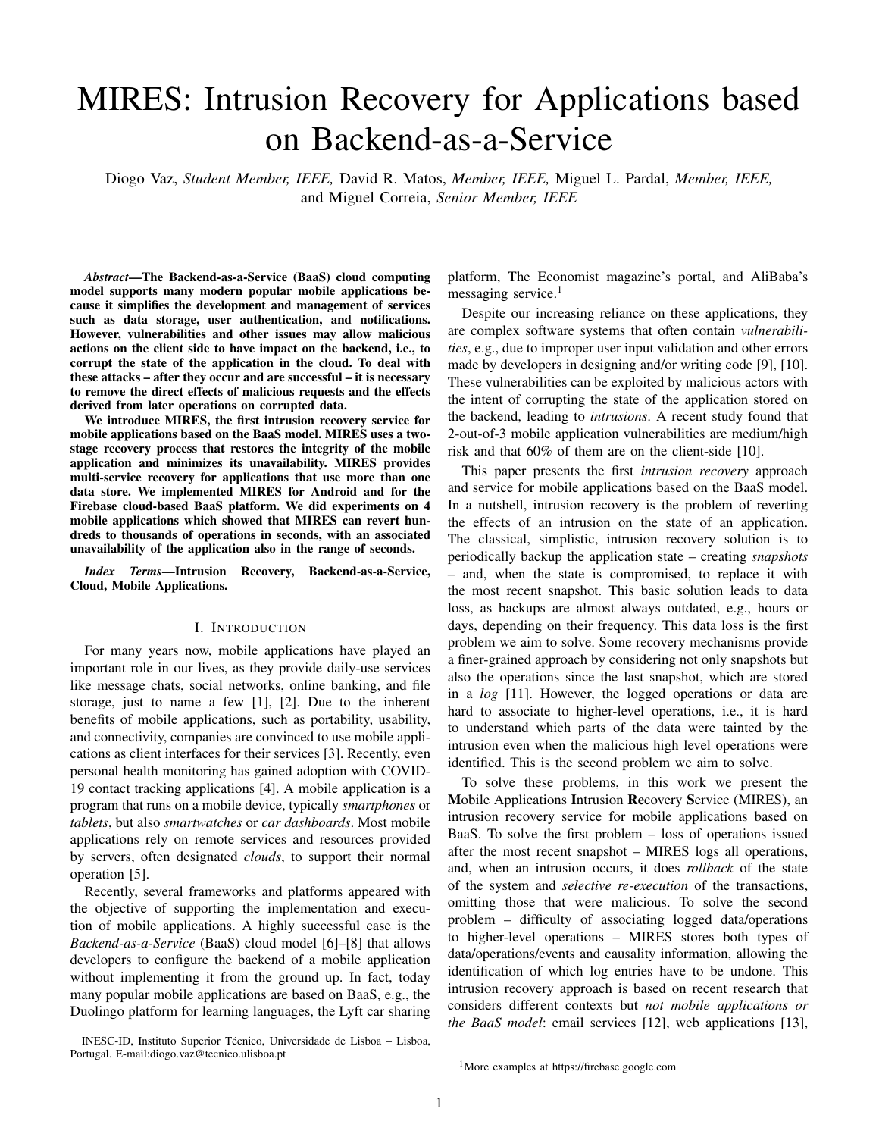A. The Model

as user management, le or data storage. When a user interacts

The BaaS model provides a set of ready-to-use application<sup>ith</sup> a mobile application, e.g., by clicking on a button, a set logic services and features that automate and speed up of aperations are executed on the backend, re ecting the users' backend development process of mobile applications. Baastion.

platforms are also used to build web applications, but our The recovery mechanism we present in this work interacts focus is on mobile applications. BaaS aims to provide scalable stly with the backend storage service(s), since we assume and optimized backend infrastructures, outsourcing the responat these services re ect the state of the application. In the sibilities of running and maintaining these infrastructures BaaS model, such storage services can be a relational database, the BaaS vendor and leaving only the development of trenon-relational database [54], or a le store. Some BaaS mobile application to the user of the platform. This simpli es<sup>platforms</sup> allow the integration of external databases (e.g., the job of the programmer, but is a challenge for the designeck4App allows the integration of MongoDB [55]), while of MIRES, as it cannot arbitrarily modify the application, others provide their own database (e.g., Firebase provides unlike previous intrusion recovery schemes. There are mariloud Firestore). MIRES does not depend on the speci-BaaS platforms today, e.g., Firebase, Back4App, Parse, AWSstore, but the prototype uses a NoSQL database, Firebase's Amplify, Backendless, Kinvey, and Cloudboost. Cloud Firestore.

The BaaS service model provides a set of common appli-The term mobile application is ambiguous, so in the rest cation services to the programmer, includingta and le storagefor storing structured data and lepush noti cation to send noti cations to the application;ser managemento authenticate the userapplication analyticsto, e.g., diagnose the parts of the mobile device and the backend. crashes and performance of the application; alcodid funcof the paper we usemobile applicationto mean the part of the application running on the mobile device amobile application systemto designate the entire system, i.e., both

tions, as in the serverless computing model, i.e., simple server-

IV. THE MIRES SERVICE

side code executed when invoked through HTTP endpoints or MIRES is focused on regaining the tegrity of the state of when certain events like database changes occur [50], [51]<sub>mobile</sub> applications byundoing the effects of intrusions, i.e.,

A simpli-ed architecture of a BaaS platform is represented malicious actions. For a mobile application based on the in Figure 1. Each mobile application (e.g., A and B) running aaS model to bene t from MIRES, it has to be con gured to in a mobile device is connected with a virtual environmentse this service. The design of MIRES follows an important called acontainer[52]. Containers are virtually isolated from design principle: the changes made to the application logic the others and contain all thesources code, services and should be minimal. The rational is that this simpli es setting con gurations (e.g., database permissions and settings) – used MIRES with an application. by the mobile application system. A mobile application system

is identi ed in the platform by aglobal unique identi er

that is sent in the mobile application requests and among the Assumptions

resources inside the containers.

Fig. 1. Architecture of a BaaS service model.

B. Mobile Applications in BaaS

We assume that the system is composed of mobile devices and a cloud, as well as of a mobile application system that runs both in the mobile devices and in the cloud, following essentially the architecture presented in Figure 1.

We use the termsystem administratorto designate the persons that manage the MIRES service and the tesen to mean the persons who use the mobile application system that MIRES protects. We assume that the system administrator is trusted. We assume that the application has legitimate users that are also trusted. However, malicious users can do actions on the mobile application system that we may want to recover from. These actions can be done locally, by gaining access to the device, or remotely, using attacks such as SQL injection, cross-site scripting (XSS), or cross-site request forgery (CSRF) [9], [56].

Our main objective is to recover thbackend stateof the mobile application system, not the local state of mobile devices, for two reasons: rst, this is more relevant and more challenging as the backend is accessed and modi ed by many

A mobile applications a piece of software that is executed lifferent users, while the local state is only accessed in the on a mobile device, e.g., a smartphone or a tablet, often with bile device; second, many applications already support a backend in some type of cloud or server(s) [3], [53]. mechanisms for local recovery, e.g., the restore from backup

The state of a mobile application that follows the BaaS process supported by WhatsApp and the implicit recovery model is divided between the mobile device and the cloud.

This division is coordinated by executing remote services such thtps:// rebase.google.com/docs/ restore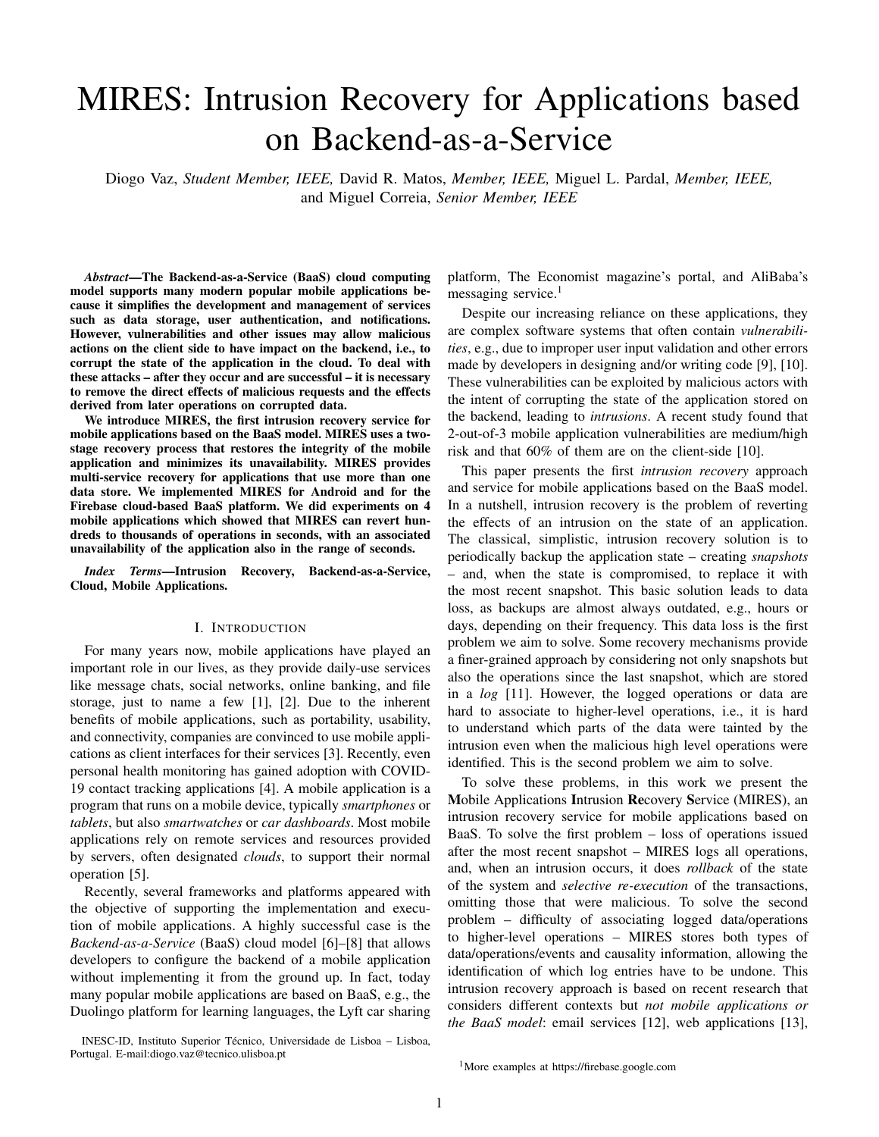done by many applications simply by logging out and in againn interesting scenario happens when the user loses control of We assume that the cloud backend state is the authoritative device  $-$  and consequently of the application  $-$  during an state of the application, i.e., that mobile applications alwaysterval of time, e.g., because the device was stolen but later use data based on the backend state. This is true for arguabbovered. This scenario is handled mainly with Administrator all nontrivial mobile applications. recovery, but also implies a manual process for convincing the

We consider that the state of the mobile application candministrator that the recovery should be done, e.g., showing only be corrupted by transactions originated by user actiomspolice certi cate that the phone was stolen and recovered. A transactiont 2 T is composed by a set of operations We do not present a speci c solution for this manual process  $O_t$ O , where T and O are respectively the sets of as it is outside of the technical scope of the solution.

all possible operations and transactions. In that sense, an

intrusion occurs when a malicious action performed by a user Architecture

explores a vulnerability on the mobile application, originating MIRES is composed of a set of resources running on the a malicious transaction  $\mu_{\rm m}$ . A malicious transaction contains  $\mu_{\rm m}$  and  $\mu_{\rm m}$  and backend (BaaS platform). one or more maliciousoperations $O_m$ , and zero or more non-malicious operation©<sub>nm</sub>. However, when recovering a malicious transaction, all operations that depend on these have to be reverted, both malicious and non-malicious. Similarly to all intrusion recovery systems in the literature, e.g., [12]–[19], we assume that adversaries cannot corrupt the computational we assume that adversanes cannot corrupt the computation and does its is job. The architecture is represented in<br>infrastructure of MIRES, the mobile application, or the Baa $S_{i_1,i_1,i_2}$ The BaaS platform provides a set of components and APIs that allow the communication between the mobile application and the BaaS services. These components and APIs are what simpli-es the implementation of applications based on BaaS, but also place constraints on how MIRES interplays with the Figure 2.

platform. This assumption does not mean that such problems in the Mobile application (top-right of the gure), on the cannot occur, but only that they are outside the scope of the mobile device, the MIRES package provides the framework solution presented in this paper. They are the subject of a large ded to con gure the mobile application. literature and even the work of organizations such as the Cloud

Security Alliance (CSA).

When mentioning the storage service(s), we use the terminology of document-oriented NoSQL databases, without lack of generality. We do not assume such a database; we only use the corresponding terminology (alternative options would be using the terminology of SQL, le stores, key-value stores, or NoSQL columnar databases). This means that we refer to data items as documents  $D = f d_1; d_2; \ldots; g$ , organized in collections These documents may containperties i.e., keys associated with values.

This also means that the data stores support CRUD operations: Create, Read, Update and Delete, but we often summarize them in just two writes that modify the content  $(i.e., creates, updates, and deletes)$  and  $a$ 

Modern databases supportansactions that provide the ACID properties allowing applications to perform writes  $$ and in some cases reads – atomically in different documents. We assume that transactions are performed correctly and atomically, as our focus is not on recovering the inconsistent states of applications due to incomplete transactions. In other words, this work is not concerned with xing broken applications, but with recovering from intrusions in correct applications.

#### B. Supported forms of Recovery

We consider two recovery scenarios:

- 1) Administrator recovery transactions are recovered byplication Database takes three newllections(in relation to the system administrator, typically due to the detection ose used by the application itself): tMHRES user tokens of an intrusion; In the Application container (right of the gure), the Apcollection to store the information that allows MIRES to
- 2) User recovery a user makes a mistake and wants undo an action moments later.

Fig. 2. MIRES architecture. The MIRES components are showeramge and the resources of the mobile application system are shown in blue.

**communicate with the application (pairs of user identi er and** token generated by the BaaS platform to identify the user's

<sup>4</sup>MongoDB transactions https://www.mongodb.com/transactions; Clo riorigodd nansactions https://www.inorigodd.com/darisactions, clodd experience for undoing mistakes done by users (see Section transactions requests); the MIRES user recovery collection storing data VIII); and the MIRES user ags collectionfor storing data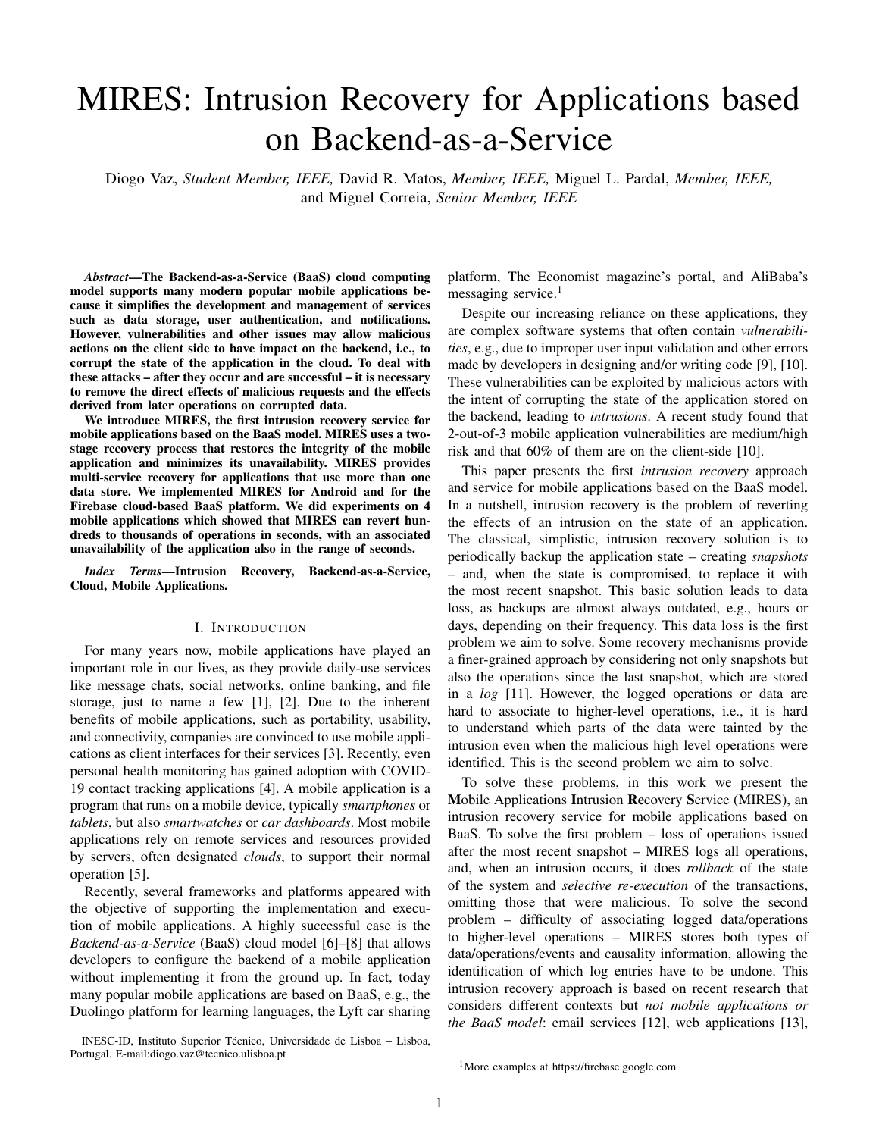(ags) needed for tracing the mobile application normal exethe operation a transaction ID that associates all requests of cution (Section V). Additionally, three types olloud functions the same transaction (e. R,1 and R2 in the gure) and the are executed in the Cloud Functions Service (bottom): tloperation ID generated by the MIRES package (see Section Cloud Loggersfor logging all the requests made to a databaseA).

and updating theTransactions Logthe Snapshot Creatorfor creating snapshots of the database documents, stored on<sub>r</sub>ts orting to two mechanism Elags and Cloud Loggers Flags Documents' Snapshots and the File Loggers for logging all the le operations made into a le storage service and updatingbout operations that is not sent automatically by the BaaS the File Operations' Log(Section VII). MIRES logs each operation executed by the backend by is additional information about operations, i.e., information platform (Section V-B1). Cloud Loggers are cloud functions

On the MIRES container (left of the gure), there are twohat log the requests made by the mobile applications (Section modules: theAdmin Console modulethat allows the system V-B2). We now explain how Flags and Cloud Loggers allow administrator to interact with the MIRES service and recovenIRES to log each operation made to the database. intrusions; and the Users Recovery module esponsible for the user recovery mechanism (see Section VIII). 1) Flags: For each write operation made in the database (arrow  $a$  in Figure 3(a)), the mobile application sends an

The MIRES architecture provides intrusion recovery with additional request (arrow) with what we call aFlag. out placing a proxy between the mobile device and the backend, on the contrary of what happens in many related kend additional information. The rst role is to send to the<br>backend, on the contrary of what happens in many related kend additional information, in relation to the systems [12]–[14], [18], [19], [41]. This is important because sent by the BaaS platform – that MIRES needs to log the it avoids creating a performance bottleneck (see, for example, operation, more precisely, thetransaction ID, the timestamp the negative impact of Shuttle's proxy in [19]) and allows and thedata structureof the operation. Notice that it would preserving the functional and security properties provided  $\frac{b}{b}$  possible to change the application requests to take this the BaaS service API.  $58$ ckend additional information – in relation to the information additional information. However, this would violate the design

## principle of minimizing the changes to the application logic. Moreover, it might create problems with the speci cities of

#### V. NORMAL EXECUTION

During normal execution, MIRES captures data of eactome BaaS platforms (e.g., Firebase supports at most 100 transaction performed in the BaaS that, later, can be used thas in messages, so adding elds for MIRES might be a recovery process. Figure 3(a) shows the normal function incompatible with some applications). Moreover, an operation a mobile application system when using MIRES. This sectidhat writes data can create or update a document, depending explains the steps performed to handle a transaction dur@g if the document exists or not; instead, an operation that the normal execution of MIRES. deletes data is necessarily a delete in the database. Flags are

In this section, for simplicity, we consider that the applicaused to disambiguate these cases. tion is backed by a single data store: a database. In SectiorThe second role of Flags is to indicate when it is possible to VII we generalize for the case of more, and other, data storetart the recovery process. As Cloud Functions are executed in

A. Mobile Application Con-guration

containers, the rst execution of such a function experiences the delay associated to the launch of the container, a phe-

Actions done by the user in the mobile application may casions Cloud Loggers take some time to activate and log cause the execution of transactions in the backend database operations. However, MIRES can only start the recovery (operationR1 andR2 in Figure 3(a)). nomenon known asold start [57]. Due to cold starts, on rare

MIRES con gures eachwrite operation to carry additional to the database. To circumvent this case, since each ag properties associated with the document that is being written presents an operation made to the database, the recovery an operation ID representing the operation itself; lacked property used in the recovery process (see Sections VI aggs resource of the MIRES users is empty. process when it contains the entire log of all operations made process can only begin when all ags are processed and the

VIII-B); and an ignore property, used by MIRES to perform requests on database documents without activating the Cloud Loggers On create/update operations, this extra data is carried extracted the model was called the associate operation is also by the operation and stored in each document, while on deleter formed. Flags are atomic in relation to the operation they are associated to. This means that each ag is stored in the MIRES

operations the extra data is carried by a message containing a ag. 2) Cloud Loggers:Cloud Loggers are cloud functions [50],

<sup>9</sup><br>For read operations, MIRES con gure the application to 51] that are activated by two types of events: create/update op-For isaa sporations, infinited son gare the application to erations on the Application Database (arrown Figure 3(a)), recovery (details later). and delete operation ags on the MIRES user ags collection  $(\text{arrow } d)$ .

## For each CRUD operation that modi es the state of the IRES user ags collection to get the ag associated with database, MIRES logs the peration the operation associated the operation. Then, it obtains other information needed to timestamp the document changedhe data associated with log the operation: theypeanddata handled by the operation. When a create/update operation is performed, a Cloud Logger is activated. Then, the Cloud Logger accesses the

## B. Logging Write Operations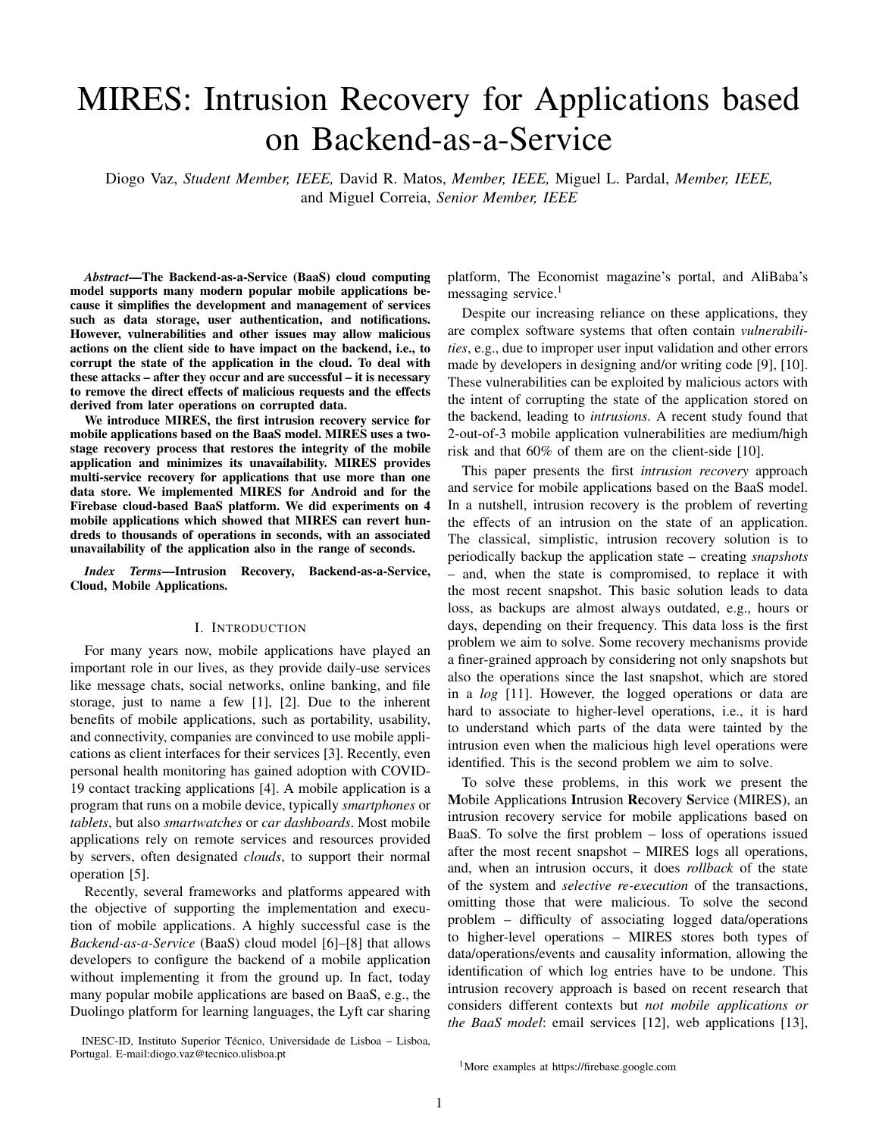(a) Normal execution (b) Administrator recovery (c) User recovery

Fig. 3. MIRES architecture and interactions. The MIRES components are independ the components of the mobile application system are in blue.

Obtaining this information may be simple or not. In the multi-service recovery, explained in Section VII.

case of the Firebase BaaS, the data modi ed by an operation

is not stored explicitly, so it has to be inferred. Speci callyC. Logging Read Operations

to gather the data written by the operation, the Cloud Logger The stateof the mobile application system is changed by compares the document before and after the operation. There write operations executed on the database, so they must is a challenge: this solution does not allow obtaining the data logged, as explained in the previous section. Instreads written by an update in case it is equal to the content of the not modify the state, so they do not have to be logged for document (e.g., updating to 1 a eld that already contain hat reason. However, some reads do have to be logged for 1). For that reason, MIRES sends to the backend a age following reason: the data carried on a create or an update with the operations' data structure, i.e., with the propertie wo types ofwrites) may come directly from the user or may of the document changed by the operation. Interestingly, thisve been taken from the database itself. In the latter case, process has an advantage: Cloud Loggers can capture the data comes from one or more read operations, so there is direct and indirect effects fan operation. For example, an<sub>a dependency between the write and the read(s).</sub> update that replaces the entire document by new data produce pherefore, MIRES logs the read operations that create

a direct effect; on the contrary, data overwritten in a document pendenciesbetween transactions (see Section VI-A). To without this being explicitly indicated is an indirect effect. Byachieve this, the MIRES package in the client-side is used having access to the versions of the document before and aftermake the mobile application send information about the the operations execution, Cloud Loggers can compare bothad operation. Thereby, this package offers the possibility versions and log the described effects, which allows rebuilding send the information about the read operation through the the documents independently from the type of update madg<sub>peration's ag: thename of the document readhe eld-</sub>

In delete operations, the logging process is performed lues read (a document can contain both legitimate and differently: when a new ag is added to the MIRES user ag¶legitimate data, and so it is important to know the data collection, a Cloud Logger instance is activated in order  $Q_{\text{C}c}$ essed), and theperation ID present on the document. access the ag and see if it is a delete operation ag. This MIRES cannot de ne a timestamp for when the read operation the only case, in which a delete operation is directly logged <sub>curred, so the operation ID keeps track of which sionof</sub> Delete operations do not generate new data on the database, document was accessed; each write operation performed which means that ags are the only way to provide information reates a new version of the document. about delete operations. Thereby, delete operation ags alway $\alpha$ fter gathering the data related to the read operation,

contain all the information needed. After analyzing the ag and/or the operation performed, the perations' ag of each operation that is in uenced by the read Cloud Logger creates the operation log record (arrew and deletes the ag from the MIRES user ags collection. that information is passed to the Cloud Loggers through the operation, in order to be logged alongside with the operation affected.

The system administrator can use the min Consoleto access the log of operations and recover the state of the pendencies are not explicit in the mobile application code. application. Arrowst, g relate to snapshots and are explained aaS platforms can provideative function callshat remove in Section VI-B2; arrowsh, + relate to user recovery and arethe necessity of performing a read operation, e.g., Firebase's explained in Section VIII-A; and arrows,  $k$  and  $t$  relate to increment Value() Besides the read operations made to the database, sometimes call, where there is a dependency on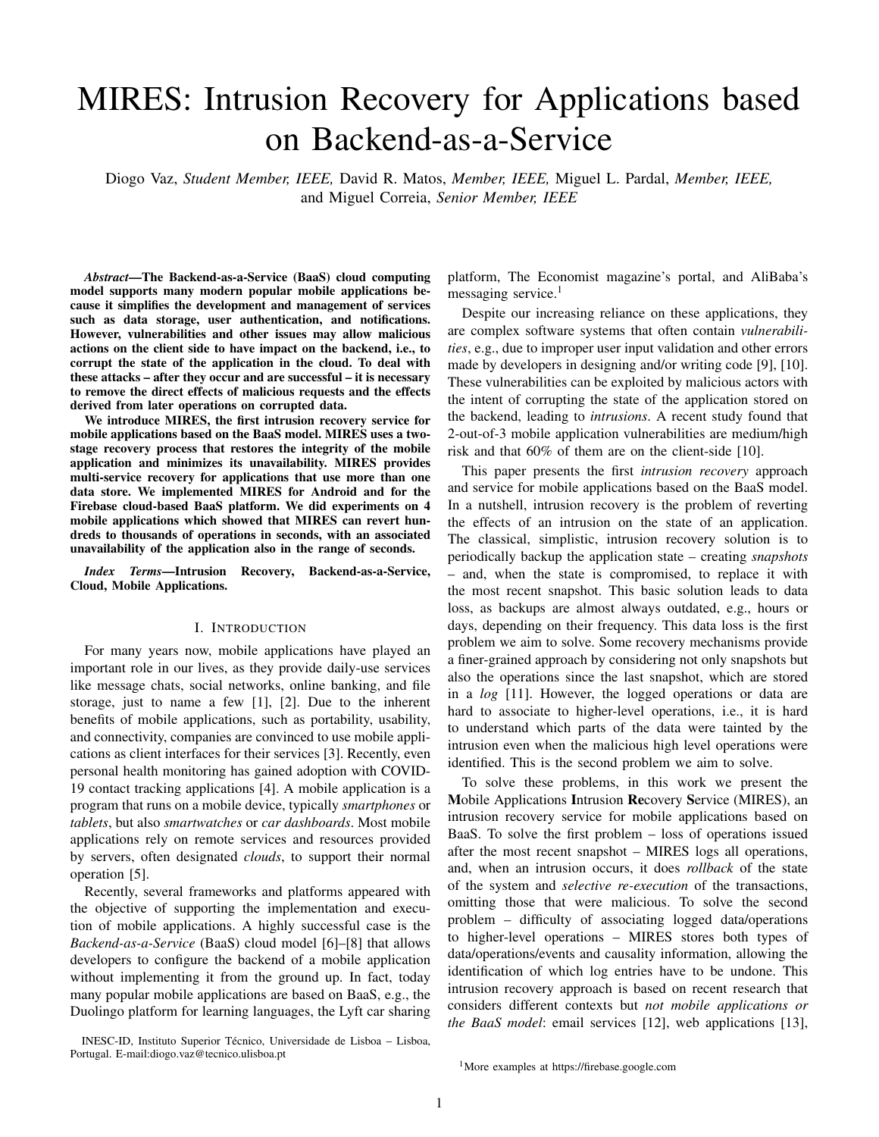the value incremented. In this occasion, the dependency exists (ow e), i.e., all documents where both read and write are so it is necessary to con gure these special cases, e.g, fbybidden. MIRES locks a document by changing the ked adding a new property to the normal operation to be analyspediperty of the document totue.

by the Cloud Logger in these scenarios. Since Cloud Loggers During the locking phase, MIRES analyses the log in have access to the version of the document before the operationer to identify dependenciesbetween operations. MIRES is executed, these components can log the read dependemoplements this process by simulating the propagation of increasing the recovery accuracy of MIRES. corrupted data in memory and comparing the operations made

#### VI. A DMINISTRATOR RECOVERY

on the database with the tainted data, to identify operations that were later tainted. From this analysis, two possible de-

The approach followed by MIRES is to directly remove endencies can resultead-write dependencies adstructural the intrusions and their effects by rolling back the state dependencies

of the application and doingselective re-executionof the transactions, i.e., re-executing those that are safe, but heforerelation, which expresses the order in which two operthose that are malicious. Figure 3(b) presents the recovetions were executed [58]. This relation, written, satis es process implemented by MIRES. This process is divided three properties: 1) Ia andb are events in the same process two phases: (1) thlocking phaseresponsible for identifying and a came beforeb, then a! b; 2) If a is the event of the malicious and compromised transactions;  $(2)$  and reading construction phase esponsible for reconstructing the affected another process, then! b; 3) If a! b and b! c, then documents. This section explains both. We de ne these dependencies using Lamport appened sending a message abds the event of receiving that message a! c (transitivity). In our case we leverage the rst and third properties, as the events that matter to us are local operations

in the database.

#### A. Phase 1: Locking Phase

A system administrator initiates the recovery process when depends on perationO<sub>1</sub> in the following way:O<sub>1</sub> O<sub>2</sub>. he decides to do so, after becoming aware of an intrusion is relation also satis es transitivity:  $i\phi$  b and b c, As previously explained, detection is orthogonal to recove<sub>t</sub><sup>Hena</sup> A dependency is also a relation. We write that operation thena c.

and out of scope of the paper. We assume that the intrusion is detected in some way and that the set of malicious operations not true:  $O_3$  !  $O_4$  does not imply tha $O_3$   $O_4$  because the  $O_m = f o_1$ ; ...; o<sub>n</sub> g directly compromised by the actions of two operations may be unrelated. The operations, R(d), the attacker, and malicious transactio $\overline{\mathsf{h}}$  = f t<sub>1</sub>; :::; t<sub>n</sub>og that include these operations, are identi-ed. For example,  $\frac{1}{d}$ hd respectively create the document deal its contents (or the attacker only pressed a button that caused the operation of it), update its content (or part of it) with data and  $o<sub>m</sub>$  (d) that deleted a document belonging to a user, then delete it.  $O_2$  then  $O_1$  !  $O_2$ , but the contrary is U(d; v), andD(d), correspond to the four CRUD operations,

 $O_m = f o_m g$  and  $T_m = f t_m g$ , where  $o_m$  2  $t_m$ . Needless to say, the recovery process will have to remove the direct effects', which be begindencies when the data while have of thesemalicious operations from the state of the system.<sup>2</sup> wails action is based on data relited by a previous<br>Haugust it will also have to remove their indirect offert request to the database, there isead-write depende However, it will also have to remove their indirect effects equest to the database, there is a which dependency of i.e., the effects of operations that were tainted by the former. We call tainted operationsboth the later and the former, propagate the effects of the intrusion by reading corrupted data we can tailled operationsboar the fater and the former, on the database and, consequently, generating new corrupted<br>i.e., malicious operations are also tainted. Deducing which to piecreusly for an undate use bave (where me operations are tainted is an important part of the problem. 1) Read-Write Dependencies When the data written by data. Rigorously, for an update we have (where) means

erations are tainted is an important part of the problem. "implies"):<br>The system administrator activates the MIRES recovery mechanism by using thedmin Consolewhere he selects the

operations that have to be undone, i.e., the operations in the set

O<sub>m</sub>. The console also allows sending a personalized message<br>to the saline makile conlinations, a mate sunkin to the use this means that ifd is tainted, thend<sup>0</sup> is also tainted. It to the online mobile applications, e.g., to explain to the users also means that MIRES can revert the spread of tainted the reason behind the recovery process. MIRES messages are data based on the data gathered about read operations during received by the application and shown to the user through subsequent in data gambiod about road operations dam<br>normal execution (see Section V-C). When analysing a write noti-cations. operation inuenced by a read operation, MIRES compares

When the recovery is initiated, the locking phase begins.<br>IDES leaks the detaileds (exprime Figure 2(b)) factually a gitther the full document or a part of of it (e.g., values of MIRES locks the database (arrowin Figure  $3(b)$ ), forbidding writes but allowing reads. Then, MIRES analyzes the log since the implementation and the level of granularity desired. the moment the rst malicious transaction occurred (artown in order to identifydependenciesbetween later transactions and, consequently, identify another all the affected documents properties in the case of a document database), depending on We have similar dependencies for the other writes, i.e., for creates and deletes:

 $5$ Two options would be: (1) to have a hos-base IDS that aralyzed the logs created by MIRES and alerted the administrator for possible intrusions; or (2) to have a nework-based IDS like Snor cor g ured to detect attacks anc activate recovery, similarly to what was done in NoSQL Undo [16].

 $R(d)$  !  $C(d^0)$  $R(d)$  $C(d^0)$  $(2)$ 

 $U(d^0; v)$ 

 $(1)$ 

 $R(d)$  !  $U(d^0; v)$  )  $R(d)$   $U(d)$ 

 $R(d)$  !  $D(d^0)$  $R(d)$  $D(d^0)$ ) (3)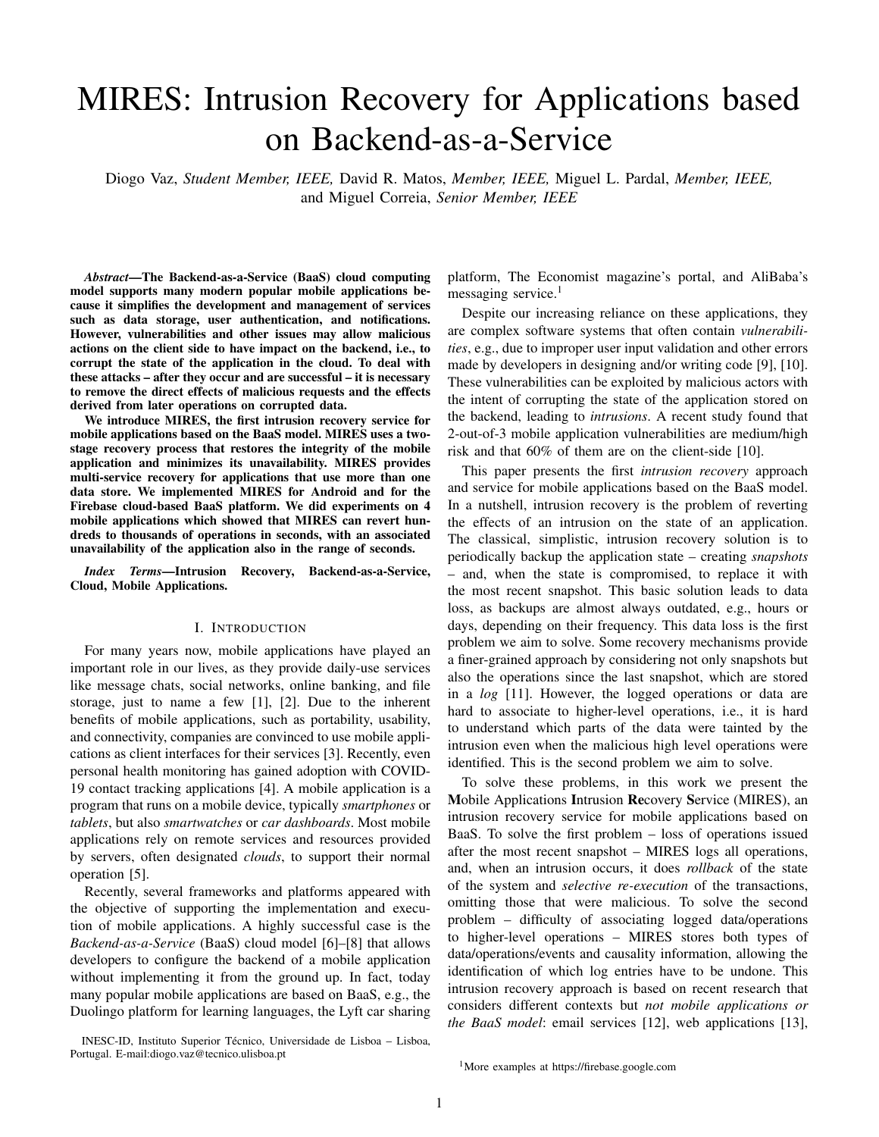2) Structural Dependencie Besides read operations, writeoperations to re-execute. In MIRES, this phase is performed operations can also create relations between transactions, currently with user interactions with the backend, so the which we designatetructural dependenciesThey can occur system continues to operate; only the infected documents are in two scenarios: when a write operation is performed demporarily unavailable.

a document that should not exist; or when a document that<sub>2</sub>) Snapshots ModelThe operations model of the previous should already exist is (re)created. section can be improved using mapshots [59] (arrow  $e$ 2),

The rst scenario happens when a malicious transactione, sets of versions of the documents at certain instants in the creates a new document, then all subsequent operations<sub>p</sub>ggt. Snapshots are used by MIRES to mitigate the time to that document depend on the rst. During recovery, these construct the entire document by starting the reconstruction operations have all to be undone until the document is nally the document using a document snapshot free of corruption. deleted. Rigorously: The creation of snapshots is done during the normal phase

$$
C(d) ! U(d; v) ) C(d) U(d; v) (4)
$$

based on the operations made per document. This process is supported by the MIRES package, used to con gure each write

The second scenario happens when a malicious transaction esimilar to Section V-A – by adding sanapshot deletes a document, then a create operation creates the d**ocu**perty, that stores the number of operations performed ment again. In the recovery, the second operation has to upeon the document; and tamestampproperty, that stores the undone, since the document should already exist. Rigorousdperation's timestamp. On the backend, **8n**eapshot Creator the dependency is: module listens for database changes (arrow Figure  $3(a)$ ) and stores a document snapshot allepperations made to

$$
D(d) ! C(d) ) D(d) C(d) (5)
$$

#### B. Phase 2: Reconstruction Phase

After executing the locking phase, MIRES has to undo the not stopped during the creation of a snapshot. effects of the tainted operations. Given the set of malicious operation $\mathfrak{O}_\mathsf{m}$  previously de ned, the set of tainted operations is given by:

$$
O_t = f o_t : o_t 2 O_m \_9 o_m 2 O_m : o_m \qquad o_t g
$$

Given the set of tainted operations, the set tainted transactionsis given by:

$$
T_t = ft_t : 9o_t 2 O_t : o_t 2 t_t g
$$

After executing the locking phase, MIRES knows all thof mobile applications). However, the complexity of mobile tainted operation $S_t$  and tainted transaction $\overline{s}_t$ , and has (and web) applications is increasing and they are starting to the documents involved locked in the database. Then, MIRBSTe their state in more that one data store. An example is unlocks the database (arrowin Figure 3(b)), allowing users the action of posting a picture in a social network application, to interact again with the backend. With the locking phasehere the image itself is stored on the le storage service and nished, MIRES starts to reconstruct the affected documen sditional data about the post, e.g., the username of the poster, (arrowseandf); the corrupted documents are locked, so usetse timestamp and the picture URL is stored in the database can normally interact with unaffected documents within theervice.

database while MIRES reconstructs the corrupted documentsFor recovering these actions involving several backend data 1) Operations Model: The reconstruction of documents instores – i.e., formulti-service recovery-, it is necessary to the database is inspired by thecused Recoverylgorithm of recover both the database and the le storage services in a [16]. This algorithm reconstructs the affected documents bynchronized way. We do not make assumptions about the replaying all write operations that affected them, except thexistence of support for transactions involving both database

malicious operations. Rigorously, the process consists in re-executing, in the ordeperations in more than one data storage service. This is the de ned by thehappened beforeelation, all operations in the case in most BaaS platforms and an important challenge we following set: and le store operations, i.e., about the atomic execution of have to face in the solution.

$$
O_r : f \circ Bt \; 2 \; T_t; o \; 2 \; t \wedge o \; 2 O_m \wedge o \; 2 \; Rg
$$

Next we explain what changes in relation to single-service recovery (presented before) in normal execution (Section

The setR above represents all read operations executed Vml-A) and in administrator recovery (Section VII-A). We the system. It is an artefact to simplify the de nition and neveassume there is a database and mostly explain how to add actually exists in the system before, during, or after recoveny. le store. We present multi-service recovery as if there was

However, this reconstruction model presents a drawbache database and one le store without lack of generality, the time to reconstruct the document grows with the numbiee., without limiting the number of databases and le storage of versionsof a document and, consequently, the number services.

VII. M ULTI-SERVICE RECOVERY

the document (arrow of Figure 3(a)), e.g., store a version of a document after each 1000 or 10000 operations made. This is a non-blockingprocess, i.e., the mobile application system

The state of a web or a mobile application is generally stored in a single storage service, usually a database. As a consequence, work on web application recovery so far has focused on recovering state stored in a single database [13], [14], [16], [18], [19] (there is no previous work on the recovery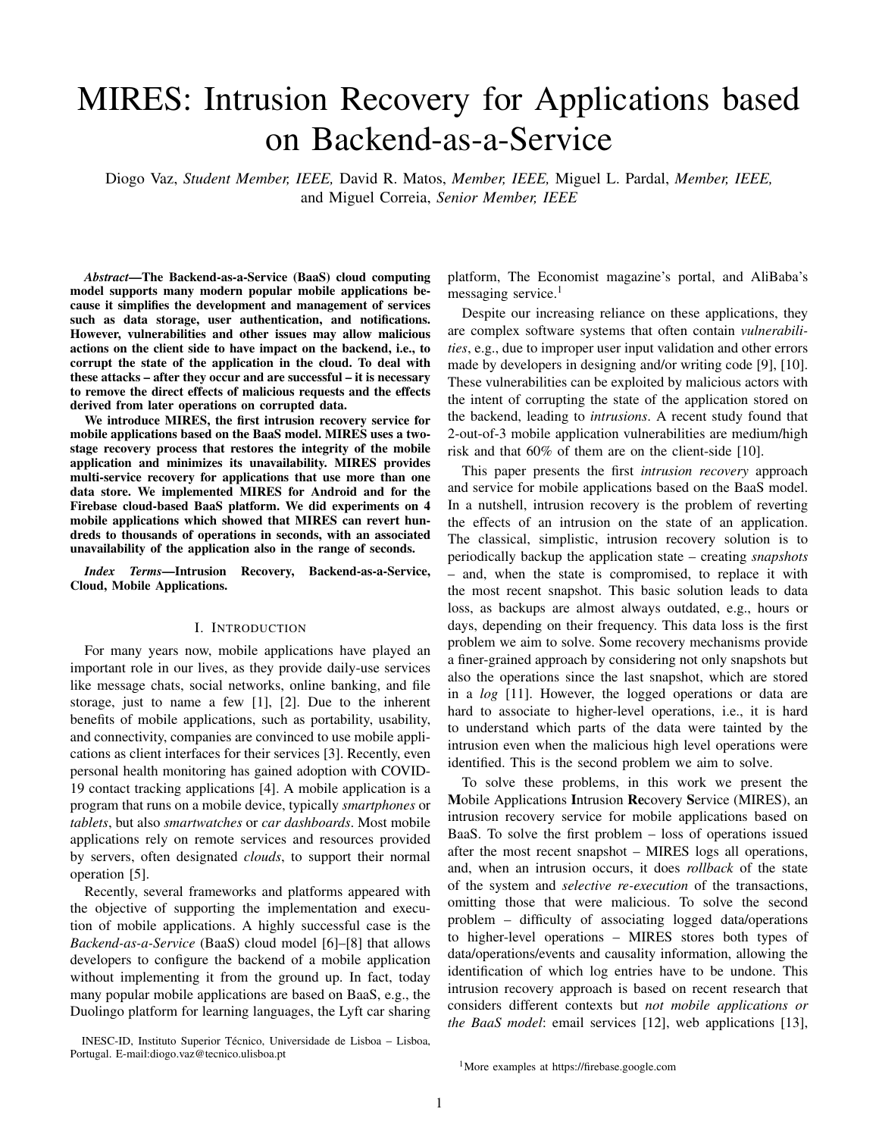## A. Normal Execution

We group the write operations in two typerploadoperations that create and update les, and eleteoperations that remove them.

In normal execution (Figure 3(a)), in terms of the le storethe database, whereas the same does not happen with les. mobile applications can create, read, update, and delete les. Therefore, there is usually no dependency and there is no point from the database often affects data subsequently written in in tracking it.

> Not locking the le system is bene cial in terms of application availability. However, it also raises two issues: broken

When the mobile application performs an upload le op<sup>transactions, since applications can write on the le storage</sup> eration (arrow<del>j</del> of Figure 3(a)), MIRES con gures thee metadataby adding: the transaction ID of the transaction, allowing the File Logger to log the le operation associated with the le storage service through the application. Nevertheless, a speci-c transaction; aignore property, when MIRES wants <sup>we</sup> assume that mobile applications can deal with broken to recover the le without activating the logging process; and ansactions and, since we do not analyse dependencies on a locked property, to lock the le. This metadata, speci cally le operations, users can interact normally with the le storage the transaction ID, is the main mechanism to circumvent the vice until the moment that les are locked speci cally for lack of atomic transactions involving both database and - peing recovered (only the les, not the whole le store). operations. However, there are cases in which this mechanism After the locking takes place, MIRES analyses the database fails. For example, in Firebase delete operations take as log to search for the malicious transactions (cf. Section a single parameter a reference to the  $\vert e \rangle$  not allowing  $t\delta^{1-A}$  and the affected database documents. After locking send any additional information to the backend. Moreover, <sup>the</sup> affected documents, MIRES analyses the File Operations solution based on ags, i.e., on sending a ag with additionat<sup>og</sup> in order to know if that malicious transaction interacted information about the operation, would not work as it is not ith the le storage (arrowb:1 in Figure 3(b)). If so, MIRES possible to achieve atomicity, i.e., the le ag could be createl pcks the infected le (but not the whole le storage service), possible to defile to defilency, i.e., the 1e agreed be effected. Formilarly to what it does with database documents (arculy). these reasons, in the case of Firebase, it is not possible in the process of database documents, les need to correlate database operations with le delete operations, only locked, forbidding any upload action on the le, for MIRES with le upload operations. service when the database service is locked; and normal le operations, since users can continue to interact normally with being able to analyse the operations performed and rebuild the le, during the normal execution of users.

Then, the File Logger captures the le change (arrowand stores on the File Operations' Log(arrow t) the information needed to recover the le: transaction ID, le path, timestam $\beta$ , dditionally to the malicious transactions and the infected operation type (delete or upload), ante generation ID (version of the le). 2) Reconstruction Phase Nith the Locking Phase nished, documents known by MIRES, the service also knows the infected les. Both database documents and les are locked on

As discussed in Section V-B1, this logging process hast geir corresponding storage service. Finally, the Reconstruction problem: cold starts may lead File Loggers to take some time hase is initiated, in which MIRES reconstructs both locked to activate and log the le operations. This can lead to MIRES database documents (see Section VI-B) and locked les. To initiating the recovery process without the log being stable construct the les, MIRES analyses the File Operations Log Flags cannot solve this problem due to lack of atomicity, nd the correct version of the le (arrowe: 1 in Figure 3(b)) as refered above, but there are workarounds to mitigate trinsd uses the eneration IDto retrieve that version from the as refered above, but there are workarounds to mingate this<br>scenarios, e.g, waiting for a short period of time before the oud service (arrowt:~1).  $recoversy$  is initiated.

#### VIII. U SER RECOVERY

#### B. Administrator Recovery

The main goal of MIRES is to support the recovery from

When the administrator identi es an intrusion, the recover<sup>intrusions</sup> that have an impact on the main state of mobile process is initiated as explained in Section VI. However, application systems: the data stored in the backend data storage this case, both the database service and the le storage services. This was what was presented in the previous sections. are recovered. Figure 3(b) represents the process of recovering wever, MIRES also provides a client-side mechanism to multi-service transactions. allow users to recover from their last action, the topic of this

1) Locking Phase: When the locking phase begins, the<sup>section.</sup> database service(s) is(are) locked, but not the le storage service(s). The reason for this difference is that we opted Normal Execution not to track read-write dependencies wolving les, on the contrary to what we do with database data. The rationale for In normal execution, to provide the user recovery mechathis decision is that, in mobile apps, databases often storem, each operation requires an additional con-guration, supdata used in the logic of the application, whereas le stores from the MIRES package and similar to those mentioned and used in the regis of the application, interest to create the creations V-A and VI-B2). Each write operation<br>are used to keep data that is stored, retrieved, and presented, are asset to happ said that to state, removed, and presented for gured to carry extra data: alockedproperty, used to but not used to take decisions. This means that data reador guide to carry extra data: alockedproperty, u generateblockeddocuments (blocked documents are invisible

<sup>6</sup>https://cloud.google.com/functions/docs/bestpractices/tips

to the users, i.e., reads are forbidden except for the user that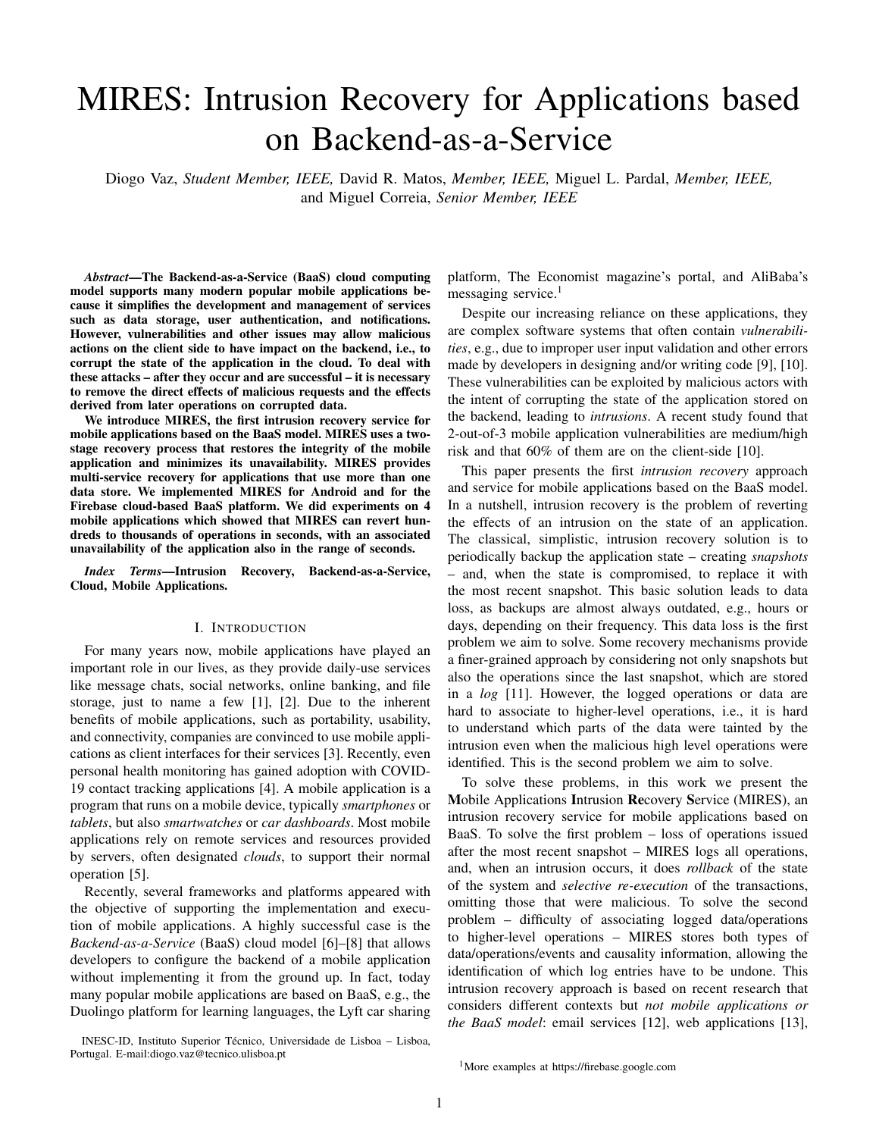TABLE II MIRES IMPLEMENTATION LINES OF CODE(LOCS).

| Client-side              | LoCs | Server-side                  | ∟oCs |
|--------------------------|------|------------------------------|------|
| Tokens                   | 47   | Cloud Logger (ags)           | 26   |
| Noti cations             | 52   | Cloud Logger (collection)    | 63   |
| Transaction con guration | 181  | File Logger                  | 51   |
| Undo recovery mechanism  |      | 198 Snapshot Creator         | 122  |
|                          |      | <b>Users Recovery module</b> | 558  |
|                          |      | Admin Console module         | 1119 |

performed the last write on the document); and see ID, representing the user that performed the transaction.

When there is a transaction that can be recovered, itsodule that supports the user recovery mechanism. With this, operations are saved by the MIRES package. Moreover, wrret RES offers exible and adaptablecon guration: modules operationsblock the affected document, i.e., lead MIRES toare deployed depending on the functionality that we want set theblockedproperty in those documents to true. This iso use. The Cloud Loggers are needed in both layers to not permanent, but for the interval of time during which build the log of transactions. Both modules were implemented user recovery is possible ( = 30 sec. in the experiments). using Node js and JavaScript and can be deployed to isolated

When a transaction that can be recovered nalizes, MIRES ntainers, which provides an important security aspect. generates a noti cation with a button that allows undoing the Cloud Loggers, Snapshot Creators and File Loggers were last operation. This option becomes inactive after the timi@plemented as JavaScript code deployed on the mobile interval T<sub>u</sub>, or when the mobile application performs anotheapplication container using the Cloud Functions service. Cloud transaction. While the option is active, the user can use it rounction scripts listen for speci c pre-de ned collections, activate the recovery. which assures con guratiorexibility over the database that

On the backend, the Users Recovery module is listening want to protect. For example, it is only required to deploy a for operation ags (arrowh of Figure 3(a)). When a ag of Cloud Logger, a Snapshot Create or a File Logger that listens unblock the document after a time interval, i.e., it will change theblockedproperty back to false (arrow in Figure 3(a)).

#### B. Recovery Execution

The users recovery ow is represented in Figure 3(c). When extra the meaning of logs and snapshots. Moreover, since Firestore is a the user clicks on the undo button, the MIRES packlacks the documents (arrowa). More, it sends a recovery request f personalized read queries for the recovery process. to the Users Recovery module with the transaction ID to be The MIRES user ags, user tokens and user recovery recovered and the documents locked (artow Both the lock of the documents and the sending of the recovery request application container: this allows reusing the security rules made atomically, whereas the recovery request is only sent if a settings that allow only the authenticated users to interact all the documents are locked. Afterwards, the User Recover the three collections. Moreover, it is possible to de ne module reads the recovery request from the user (arc) speci c security rules, allowing to isolate the three collections and reconstructs the documents affected in a way similar flom the rest of the application database. By following this the reconstruction phase of Section VI-B (arrdw NoSQL database, it offers a exible storing process with a set were implemented using database collections on the mobile implementation, we applied an atomic model – using Firebase

By making the documents invisible to the other userfansactions – on the operations and their ags, and also on during the periodT<sub>u</sub>, MIRES can recover the transaction the locking phase of the user recovery mechanism, allowing without the need to analyse dependencies, allowing to recover to mitigate possible synchronization problems. multiple transactions from different users at the same time,

without requiring the mobile application system to stop. Also, Example Applications

since this mechanism aims to recover users' actions without affecting the application experience of other users, it must To evaluate the MIRES service, we used four open-source allocally are application experience of other assist, a maximum and applications:

only be changed by a single user, e.g., on a social network<sup>1</sup>) a social network applicationHify  $\frac{7}{1}$ , where users can application, posts are only modi ed by the same unique user. post images or text, comment and like other posts; 2) a messaging application for 1 to 1 conversations;

#### IX. MIRES IMPLEMENTATION

The MIRES client-side package allows the con-guration of msavarthan.social.hify; and Source code: https://github.com/lvamsavarthan/ <sup>7</sup>Google Play store: https://play.google.com/store/apps/details?id=com. hify version of 06/07/2020

the mobile application to manage: the MIRES noti-cations, <sup>8</sup>https://github.com/ResoCoder/rebase-restore-chat-app version of the locking phase of the user recovery mechanism and theos/2020

con-guration performed on each operation, where in the beginning of each transaction, MIRES creates a transaction state used by the mobile application code to con gure each operation of the transaction. This client-side resource was implemented in Java, which is the default programming language for Android applications. The number of lines of code of the implementation are shown in Table II.

The server-side of MIRES was implemented as a twolayer service: a rst layer composed of the Admin Console module that supports the recovery mechanism of the system administrator; a second layer composed of the Users Recovery

a blocked document arrives, the Users Recovery module with a collection containing the data that we want to protect and con-gure the actions of the mobile application that interact with that same collection. The BaaS platform used was Firebase. We used the Firestore database service to store the log of transactions, the log of le

operations and the snapshots. With this service, and the Cloud Functions mechanism, we can assame to matic scaling the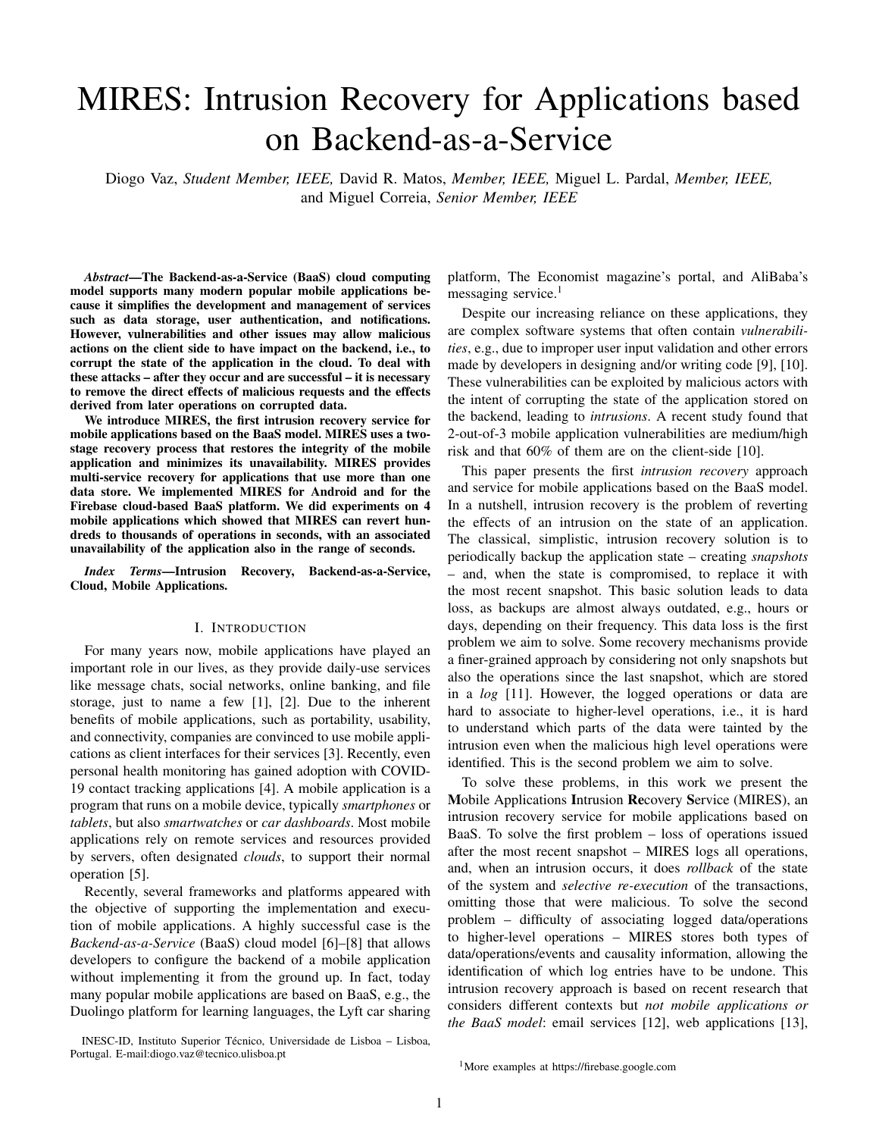TABLE III APPLICATIONS AND THEIR CONFIGURED ACTIONS USED TO TESTMIRES.

| Applications            | Con gured Actions                                               |
|-------------------------|-----------------------------------------------------------------|
| Social Network          | Create Account<br>Post, Comment and Like                        |
| Messaging               | Create Account and Chats<br>Create, Change and Delete messages  |
| Shopping Lists          | Create Accounts<br>Add, Change and Delete lists and<br>products |
| <b>Contact Tracking</b> | Create account<br>Store user's contacts                         |

- 3) a shopping list applicationShoppingListApp<sup>9</sup>, to creproducts;
- 4) a contact tracking application CovSense<sup>10</sup>, used to track contacts between their users and manage the COVID-19 spread.

The social network and messaging applications were chosen based on the high number of dependencies of transactions of different users created on the backend, and because they represent the logic of 4 out of 5 of the most downloaded apps of 2019 [60]. The shopping list was chosen due to different logic, since it is a personal application, not social. The ethol XX, what is the storage space overhead or further CovSense application was chosen due to the actual pandemic. C. Cooler X B, what is the performance of the du-<br>context that humanized is facing. All explications use First a ministrator recovery? – Section X-C; What is the context that humankind is facing. All applications use Firebase in the multi-service recovery process? – Section X-D; What as BaaS and the Firestore database. This section presents the experimental evaluation of MIRES or direction decision control on the most downloaded with the state of the logic of 4 out of 5 of the most downloaded MIRES in run-time, as it requires logging all operations? –

is the performance of the user recovery? – Section X-E;<br>Table III provides information about each application and Me used a mabile davise with 2CB of mamary and an G Table in provides information about each application and We used a mobile device with 3GB of memory and an Octa-<br>the actions used to test our recovery service. We now provide to Kirin 710 presences connected to a 47.78 Mb/ supplementary information about each application. Core Kirin 710 processor connected to a 47.78 Mb/s download

ppermentary information about each application.<br>Hify is an open-source social network application where tien Both application and MIBES containers were deplayed users can share updates and photos, engage with friends and the same photon and wincle containers were depited<br>on Google Cloud in the same region (respectively) to other users worldwide, and stay connect to the world. application presents features such as: photo-sharing (up to a single post) and updates; get noti-cations when friends like. Substitute the main of the main of the state of memory and running Debian Linux and comment on your posts; ask questions in the Hify Forum 100 OS. All results shown in the next sections are averages of and also help others with answers for their questions; connect  $\frac{1}{2}$  executions of the results obtained with the 4 applications, with friends and family; and meet new people. In terms of except when noticed. recovery, the data in the database that MIRES will recover is cation. Both application and MIRES containers were deployed mitigate network delays. Each MIRES module was deployed on Google Compute Engine, on a N1 generation machine,

related with the user accounts and their main actions on the

application, more speci cally, posts, comments and likes. A. Logging Performance and Cost

Chat is a simple messaging application where users can This section evaluates the performance overhead of logging start 1-to-1 conversations with another user. After creating the operations done in normal execution mode.

account, users can search for a speci-c user – by inserting the processive acre in nothial execution measurements. username – and start a conversation, with the possibility to means represent a convention made to the database, resulting send images or text messages. We have focused our experi-<br>measure as assessment a late related to use assessment about the an additional cost to execute each operation. To test the ments on recovering data related to user accounts, chats, and the dominant cost to chocate cash eperation. To test the messages. performed a set of 1K CRUD operations per application. Each

Shopping Listsis an Android application for shopping Shopping Eists an Android application for shopping block of operations followed a different work ow distribution<br>list management. Lists and products are created through the each application: 80/20 read/write distribution f de nition of a name for each one. Each user can create, update, social network application, where users tend to actively read or delete a shopping lists and then add, update or delete posts from other users, comments and likes, 50/50 read/write products in each list. Each list is created by a single user but the messaging application based on read/reply conversa-

<sup>9</sup>https://github.com/alexmamo/Firestore-ShoppingListApp version 07/07/2020

<sup>10</sup>https://github.com/saivittalb/covsense version of 27/09/2020

can be shared with other users. MIRES will focus its recovery on the data about user accounts, the lists managed by the user and the products in each list.

CovSenseis an application for tracking the spread of COVID-19. The application uses a combination of Wi-Fi, Bluetooth, BluetoothLE and ultrasonic modem to communicate a unique-in-time pairing code between devices. This code can be used to trace contacts between users. Application actions are: create account, update the health status – between "Healthy" and "Diagnosed with COVID-19" – and store contacts with other users, that is done automatically by the application. After a user changes his health status to "Diagnosed with COVID-19", all users that contacted with

ate shopping lists, by adding, changing and removing RES will apply its recovery approach on the user accounts him are noti ed about a possible infection. In this application, and the contacts stored between different users.

## X. EXPERIMENTAL EVALUATION

with the four example applications described above. With this evaluation we wanted to answer the following questions: %beginitemize What is the performance penalty and cost of Section X-A; What is the storage space overhead of running

tions, a 20/80 read/write for the shopping list application, since lists tend to be intensively updated, by adding, changing and removing items, and 0/100 read/write for the CovSense

for each application: 80/20 read/write distribution for the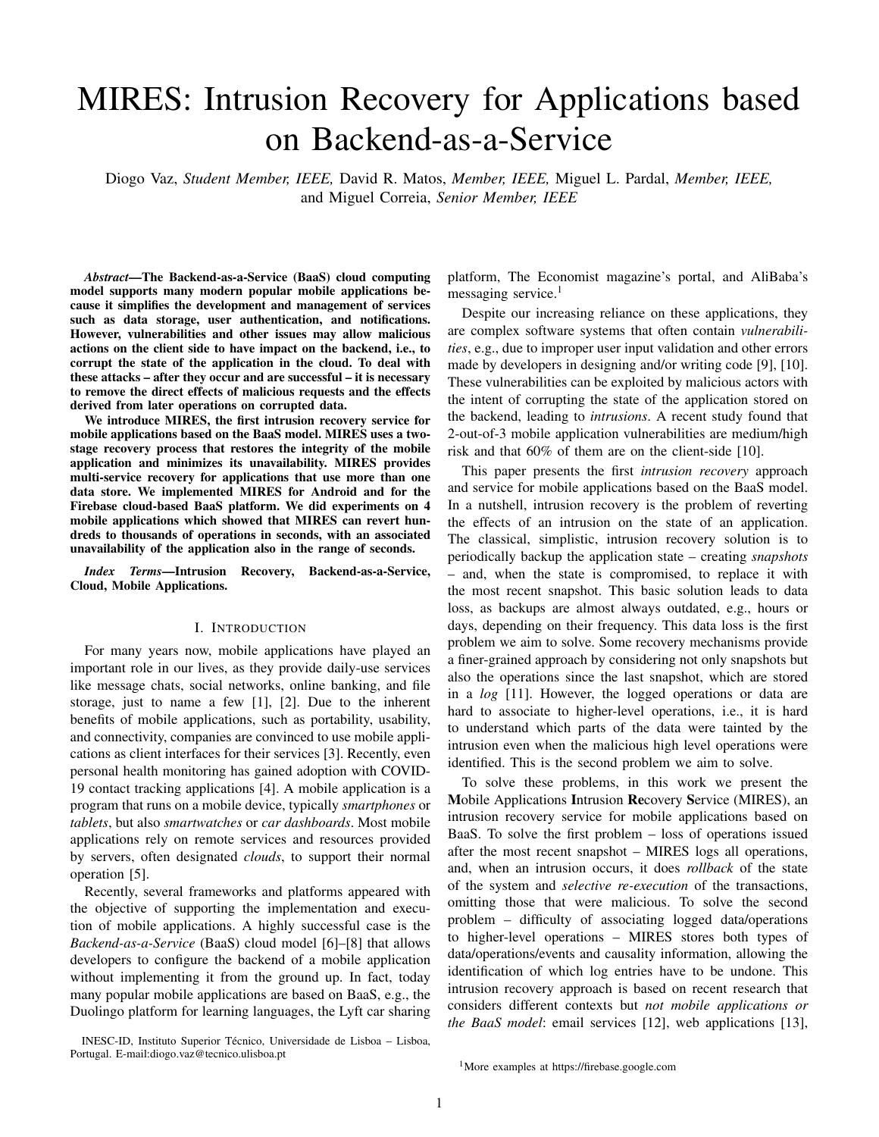

Fig. 4. Time to perform 1000 operations on each application, with and without MIRES.

TABLE IV INTRUSION RECOVERY SERVICE OVERHEADS (VAL UES TAKEN FROM THE CORRESPONLING PAPERS.

| System - Application              | Overhead |
|-----------------------------------|----------|
| MIRES - Shopping List App         | 23.00%   |
| MIRES - Messaging App             | 18.00%   |
| MIRES - CovSense App              | 16.00%   |
| <b>MIRES - Social Network App</b> | 15.00%   |
| Rectify - Wordpress               | 17.19%   |
| Rectify - LimeSurvey              | 18.72%   |
| Rectify - MediaWiki               | 14.49%   |
| RockFS - Async                    | 14.19%   |
| RockFS - Sync                     | 15.88%   |
| Shuttle - Workload A              | 13.00%   |
| Shuttle - Workload B              | 16.00%   |
| Warp - Reading                    | 24.00%   |
| Warp - Editing                    | 26.84%   |
| Retro - Web server (1 core)       | 55.99%   |
| Retro - Web server (2 cores)      | 24.89%   |
| Retro - HotCRP (1 core)           | 25.98%   |
| Retro - HotCRP (2 cores)          | 1.96%    |
| SHELF - Dbench throughput         | 7.60%    |
| SHELF - Apache ab transfer rate   | 7.50%    |

TABLE V TIME TO PERFORM A DATABASE-FILE TRANSACTION, WITH AND WITHOUT MIRES.

| Action                              | Time (s)      |
|-------------------------------------|---------------|
| Post action without le con guration | $0.92 + 0.02$ |
| Post action with le con guration    | $0.96 + 0.03$ |

TABLE VI COST OF THECLOUD FUNCTION EXECUTIONS USED BYMIRES

| Cloud Function   | Time (s)        | Memory (GB)     |
|------------------|-----------------|-----------------|
| Cloud Logger     | $0.47\pm(0.06)$ | $0.09\pm(0.01)$ |
| File Logger      | $0.13\pm(0.01)$ | $0.08\pm(0.02)$ |
| Snapshot Creator | $0.10\pm(0.01)$ | $0.08\pm(0.01)$ |

create database operation and appload le operation. We executed a ow of 1000 transactions. Table V represents the results of the experiment. We can see that MIRES imposes an overhead of 4.3% when con guring the le metadata. We believe that this is an acceptable overhead given the bene ts that it provides.

3) Cost of Logging Database Operation Cloud Logger scripts were deployed on the mobile application container to listen for database changes and ags. The script was deployed on the same region of the application container, to minimize the activation time and assure all necessary triggers. The script was deployed on a Node.js execution environment with 1 GB of dedicated memory. Table VI shows the execution results of the Cloud Loggers, obtained from the work ow made to the database on Section X-A1. Firebase offers a free quota of 2M invocations per month. After that, each 1M of invocations costs \$0.40 (however the Cloud Functions service is also priced in

application since most of the application main logic is basedB/second, CPU/second and the Internet trance on writes. 4) Cost of Logging File OperationsFile Logger scripts

Figure 4 shows the results of the experiment. MIRE gere also deployed following the Cloud Loggers deployment imposes an overhead of 23% on the Shopping List App, 18% odel (see Section X-A3). Table VI shows the results of the on the Messaging App, 16% on the CovSense App and 15% ecution of File Loggers, obtained from the work ow made on the Social Network App. This difference is due to then Section X-A2

different con gurations made on the mobile application: write

operations are con gured using Farebase transactionwith B. Space Overhead

an extra create operationa $g$ ), whereas read operations are con-gured by adding alter to blocked and locked documents terms of data storage. Notice that MIRES necessarily uses which leads to a lower cost on read operatioAlthough the ovelheadis noteworthy, MIRES present a similar pelformance degradation when compared to other intrusion recovery This section evaluates the overhead caused by MIRES in storage space to keep all the data it needs to undo operations, so this overhead is intrinsic to this kind of intrusion recovery approach.

works (see Table IV) which we consider acceptable, given the  $_1$ ) Database OverheadMIRES generate new additional recovery bene t provided by the service. MIRES adds a create is that is stored on each database document, which imposes operation for each write operation made on the database (agtronage overhead. Firebase provides full information about process), which contributed to increasing the cost of running storage structure of the database When using MIRES, the service, since Firebase is charged per cluster of operations size of each document is increased by a minimum of (each cluster of 100K operations costs \$0.18 at the time of the bytes and a maximum of 173 bytes – 69 bytes for the evaluation). Administrator Recovery, 57 bytes for the Users Recovery

2) Mobile Application Performance with File Metadata mechanism and 47 bytes for the snapshots creation ow (each Con guration: To test the performance of multi-service transdocument has a maximum capacity of 1 MB, which means and actions, we used the Hify application, through image  $p\&s$  occupation between 0.006% and 0.018% of the maximum size Image posts transactions are composed of 2 operationsall wed). The data is stored on a minimum of 3 eld values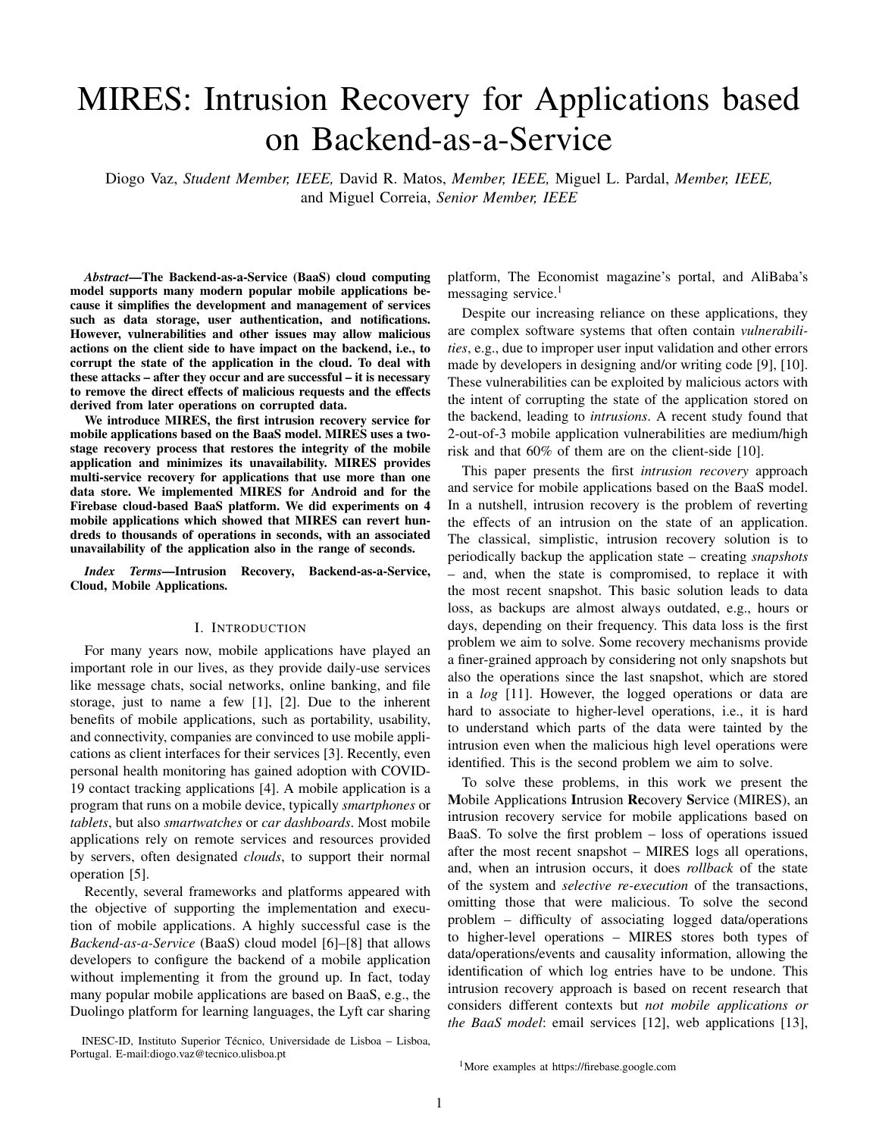and a maximum of 7 eld-values - 3 for the Administrator Recovery, 2 for the Users Recovery mechanism, and 2 for the snapshots creation ow (each document can only contain -100 elds, which means a minimum occupation of 3% and a maximum occupation 7%).

Additionally, MIRES creates the three collections mentioned before: the MIRES user ags/recovery/tokens collections. However, only the MIRES user tokens collection stores data persistently as it is needed for recovery, whereas the other data does not persist. For this reason, we only assess the space usage of the MIRES user tokens collection: each user token is saved on a different document occupying 255 bytes each. However, the mobile application system can be already storing the users tokens which allows to mitigate the MIRES user tokens collection by reusing the information already stored.

In conclusion, the maximum additional data size imposed by MIRES on the application database is given by the expression (in bytes):  $S_{db} = 173$  documents + 255 users where documentsis the number of database documents asersthe

TABLE VII LOG SIZE.

| Mobile Application | Database Log (GB) | File Log (GB) |
|--------------------|-------------------|---------------|
| Social Network App | 0.11              | 0.25          |
| Messaging App      | 0.25              |               |
| Shopping List App  | 0.41              |               |
| CovSense App       | 0.42              |               |



number of users. For instance, 1M users and 1M documepts on a mobile application system increase the storage in 0.41 Fig. 5. Time to revert a different number of operations. GB.

2) Database Log RecordsEach operation made to the Table VII shows the log size needed to store 1M database database is logged with speci c data (see Section V) givepperations following the exact work ow performed on Section by the following expression (in bytes $S_{\log}$  = 215 + doc+ X-A on each application, as also shows the capacity needed to (53 + data) where doc represents the path to the document tore 1M le operations, following the exact model of Section affected anddata the data sent on the operation; the 53 bytes D, where the le size property is 74 bytes and the bucket are only added if the operation wrote any data, i.e., create asize property is 23 bytes. Firestore offers a free quota of 1GB. update operations. For example, an operation that create after that, each 1 GB costs \$0.18.

20-character name document on a collection named Posts will

lead to 26 bytes of doc property ('Posts/" string). If the operation writes 344 bytes, then the log record The total time needed to recover the application, from the of the operation will have 215+26+(53+344) = 638 bytes. moment when the systems starts the recovery until all effects + 20-character C. Administrator Recovery Performance

3) DependenciesWhen a write operation is in uenced by of the intrusion are removed, is de ned as there to Recover a read operation, there is additional information logged related rR). In MIRES, the TTR is the sum of theocking phase with the read operation (see Section V-C). The dependency dReconstruction phastimes.

size of an operation is given by the following expression (in To test the recovery performance, we de ned three real bytes and wher**D** de nes the number of documents read ang<sub>cenarios. InScenario 1we have created a user in each appli-</sub> F the number of eld-values read): cation and performed a different number of actions resulting

$$
S_{dep} = 91 + \bigg( \big( \text{doc} + 1 + \big) \times \big( \text{field} + 1) \big) \bigg)
$$

in 1 to 1000 operations to recover. **B**icenario 2we used the same user and the application actions to perform 1 to 10K operations upon the same document, in order to create

where thedoc property represents the path to the document to 10K different versions of the document. Scenario read and theeld property represents each eld-value read3 we tested a particular recovery case were intrusions are To exemplify, if a read operation is performed upon tide not propagated to the database service, but instead malicious username name and image elds of the users' information information is broadcast directly to user applications, through document, this will lead to 19 bytes (the sum of the eld valuesoti cations. The rest of the section analyses the MIRES read). If the path of the document read" users/" + user recovery performance in these scenarios.

ID, a 28-character identi er, this will result on abc property log record size by 91+(34+1+(19+4)) = 149 bytes

stored.

of 34 bytes. Thereby, the read operation would increase theows the results of undoing the actions of the user. Both 4) File Log Records: MIRES stores the log of the le increase of the log size, the dependencies, and the documents operation performed. Each log record size is give by the recover (in this test, there was an average of 45 documents following expressions (in bytes $\$_{\text{dep}}$  = 164+ le + bucketfor for each 100 operations on each application). Recovering a upload operations, an&<sub>dep</sub> = 100 + le + bucketfor delete single operation takes less than 1 second, while recovering operations. Thele property is the le path of the le and 1K operations takes 55 seconds maximum. However, in this the bucketproperty is the le storage name where the le isatter case, the mobile application system is unavailable for 1) Scenario 1 - Undoing Database Operationsiqure 5 Locking and Reconstruction phases increase linearly with the only 15 seconds.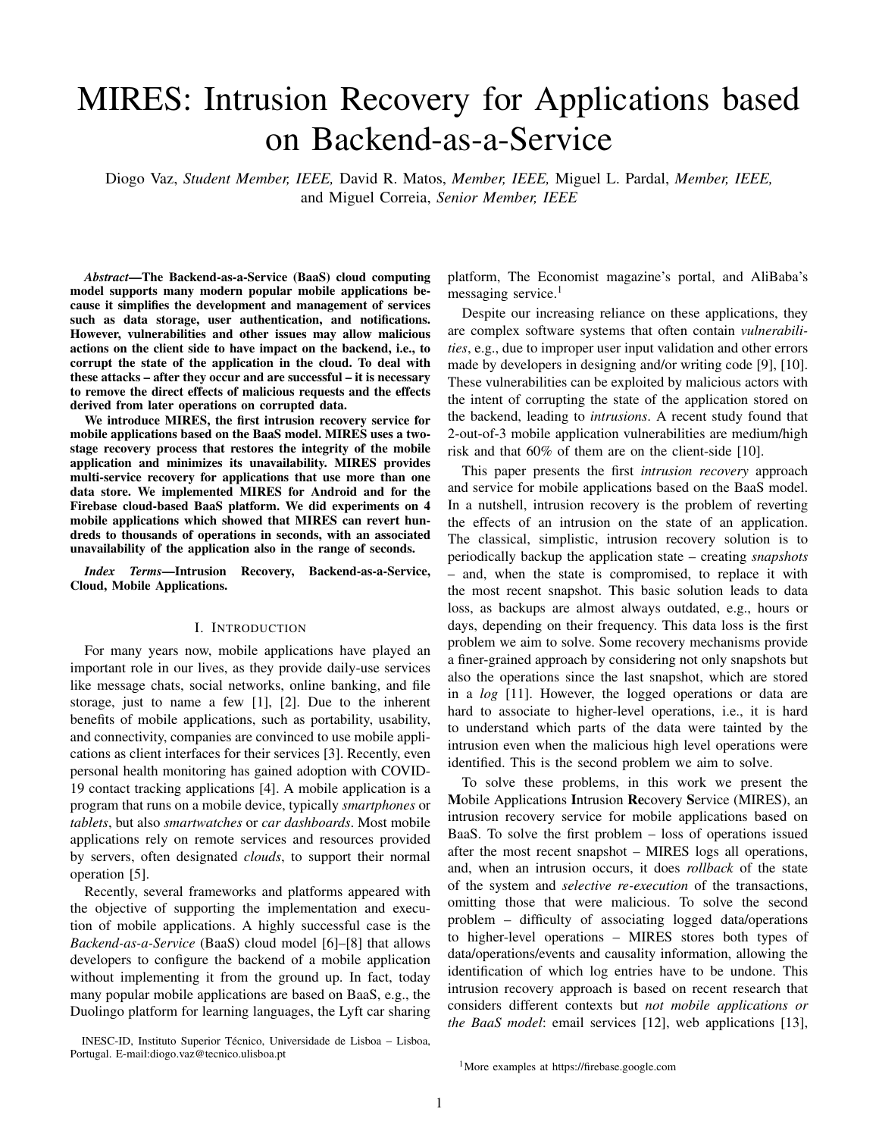

Fig. 6. Time to reconstruct a document with different versions.

users. MIRES sends recovery noti cations to each user. We tested the noti cations mechanism by sending 1, 10 and 100 noti cations. We performed each test 5 times, concluding that sending 1 noti cation costs 0.06±(0.03) seconds, sending 10 noti cations costs  $0.81 \pm (0.04)$  seconds, and 100 noti cations costs  $5.80\pm(0.58)$  seconds.

## D. Multi-Service Recovery Performance

We evaluated MIRES when recovering multi-service transactions (Section VII). We used the Hify application and the image post action – this action is supported by a transaction composed of 2 operations: called at a based operation and an upload-le operation. We recovered 1 to 1000 transactions, in intervals of 100 transactions. Figure 7 represents the results

The Locking phase is composed of the load and analy**si**sthe experiment. Recovering 1 transaction takes less than 1 of the log to identify the malicious transactions and the econd, while recovering 1000 transactions takes 132 seconds corrupted documents. This phase presents a drawback: MIR@Sminutes and 12 seconds).

can lock documents where the state before and after the recovery process is the same. Thereby, this documents could be ignored, increasing thecking accuracyHowever, we have not implemented this optimization, since we believe that these scenarios will be rare.

The Reconstruction phase is composed of the reconstruction of the locked documents. We can see that this phase performs worst than the Locking phase: on the Locking phase, MIRES loads and analyses the log on a single process, while on the Reconstruction phase, MIRES needs to load, for each document locked, the operations that affect the document to reconstruct – for legitimate operations – or update the  $log$ for malicious operations.

2) Scenario 2 – Reconstructing a Database Document<sup>Fig. 7.</sup> Time to undo a different number of multi-service transactions. Figure 6 shows the results of rebuilding a document with

different versions. By following an operations model, the

reconstruction of a document takes longer with the increase User Recovery Performance

of the number of versions, since MIRES needs to replay all The user recovery mechanism is, similar to the administrator the operations required to reconstruct the document. Howeve covery approach, supported by two phases: a locking phase, by using snapshots of 1K versions, we could reconstructwanere the mobile application locks the documents affected by document with 10K versions in less then 0.5 seconds, instene transaction, and a reconstruction phase, where the locked of the almost 3 seconds required when using the operationscuments are reconstructed by the MIRES service. model. 1) Normal Execution:In the course of the normal execu-

We made our in-depth analysis only on the last work owton, each time that an invisible database document appears, tested, i.e., the 10k versions. Table VI shows the resuttse Users Recovery Module unblocks the document after 30 observed on the execution of Snapshot Creators. All testedconds. To test the unblocking time, we performed three applications – Social Network, Shopping Lists and CovSendifferent ows: we have executed 1, 10 and 100 operations applications – stored 10 snapshots of the document – each currently, each generating a blocked document. This test with 1000 versions – imposing an additional storage of 0.06w was performed for each application, except the CovSense MB on all applications. application. With this experiment, we concluded that, after the

As expected, the Locking phase times remained practicaby seconds, and with the increase of documents to unblock, the same, since it was always only one transaction to the average time to unblock each document is  $0.08\pm(0.04)$ analysed. seconds.

3) Scenario 3 - Sending Recovery Noti cationshis scenario was focused on a different type of recovery, where thee direct lock of the documents by the mobile application. We effects are not persisted in the database. However, some typee measured the locking phase by locking 1 and 10 docuof malicious information is generated and shared with theents. This test ow was conducted in each application, except users. To test this particular scenario, we used the CovSettse CovSense application. We observed that locking a single application to simulate a malicious health status change thattabase document costs 0.27±(0.01) seconds, while locking generated a malicious ow of notications sent to some 0 database documents costs 1.02±(0.01) seconds. However, 2) Recovery ExecutionThe user recovery ow begins with

0 200 400 600 800 1;000 0 20 40 60 80 **Transactions** Time (s) Locking Phase **Reconstruction Phas**